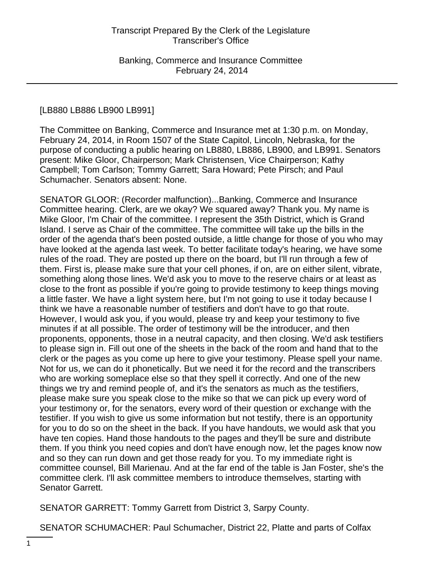# [LB880 LB886 LB900 LB991]

The Committee on Banking, Commerce and Insurance met at 1:30 p.m. on Monday, February 24, 2014, in Room 1507 of the State Capitol, Lincoln, Nebraska, for the purpose of conducting a public hearing on LB880, LB886, LB900, and LB991. Senators present: Mike Gloor, Chairperson; Mark Christensen, Vice Chairperson; Kathy Campbell; Tom Carlson; Tommy Garrett; Sara Howard; Pete Pirsch; and Paul Schumacher. Senators absent: None.

SENATOR GLOOR: (Recorder malfunction)...Banking, Commerce and Insurance Committee hearing. Clerk, are we okay? We squared away? Thank you. My name is Mike Gloor, I'm Chair of the committee. I represent the 35th District, which is Grand Island. I serve as Chair of the committee. The committee will take up the bills in the order of the agenda that's been posted outside, a little change for those of you who may have looked at the agenda last week. To better facilitate today's hearing, we have some rules of the road. They are posted up there on the board, but I'll run through a few of them. First is, please make sure that your cell phones, if on, are on either silent, vibrate, something along those lines. We'd ask you to move to the reserve chairs or at least as close to the front as possible if you're going to provide testimony to keep things moving a little faster. We have a light system here, but I'm not going to use it today because I think we have a reasonable number of testifiers and don't have to go that route. However, I would ask you, if you would, please try and keep your testimony to five minutes if at all possible. The order of testimony will be the introducer, and then proponents, opponents, those in a neutral capacity, and then closing. We'd ask testifiers to please sign in. Fill out one of the sheets in the back of the room and hand that to the clerk or the pages as you come up here to give your testimony. Please spell your name. Not for us, we can do it phonetically. But we need it for the record and the transcribers who are working someplace else so that they spell it correctly. And one of the new things we try and remind people of, and it's the senators as much as the testifiers, please make sure you speak close to the mike so that we can pick up every word of your testimony or, for the senators, every word of their question or exchange with the testifier. If you wish to give us some information but not testify, there is an opportunity for you to do so on the sheet in the back. If you have handouts, we would ask that you have ten copies. Hand those handouts to the pages and they'll be sure and distribute them. If you think you need copies and don't have enough now, let the pages know now and so they can run down and get those ready for you. To my immediate right is committee counsel, Bill Marienau. And at the far end of the table is Jan Foster, she's the committee clerk. I'll ask committee members to introduce themselves, starting with Senator Garrett.

SENATOR GARRETT: Tommy Garrett from District 3, Sarpy County.

SENATOR SCHUMACHER: Paul Schumacher, District 22, Platte and parts of Colfax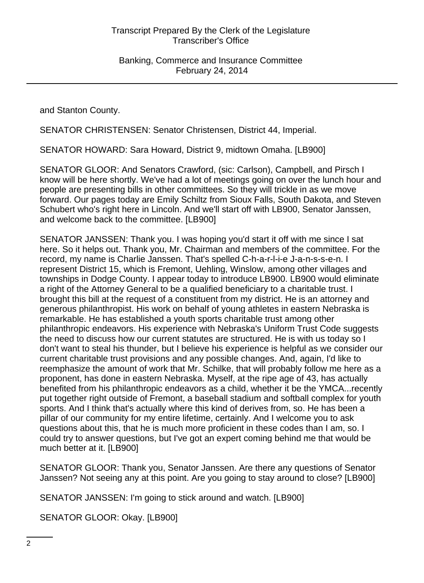and Stanton County.

SENATOR CHRISTENSEN: Senator Christensen, District 44, Imperial.

SENATOR HOWARD: Sara Howard, District 9, midtown Omaha. [LB900]

SENATOR GLOOR: And Senators Crawford, (sic: Carlson), Campbell, and Pirsch I know will be here shortly. We've had a lot of meetings going on over the lunch hour and people are presenting bills in other committees. So they will trickle in as we move forward. Our pages today are Emily Schiltz from Sioux Falls, South Dakota, and Steven Schubert who's right here in Lincoln. And we'll start off with LB900, Senator Janssen, and welcome back to the committee. [LB900]

SENATOR JANSSEN: Thank you. I was hoping you'd start it off with me since I sat here. So it helps out. Thank you, Mr. Chairman and members of the committee. For the record, my name is Charlie Janssen. That's spelled C-h-a-r-l-i-e J-a-n-s-s-e-n. I represent District 15, which is Fremont, Uehling, Winslow, among other villages and townships in Dodge County. I appear today to introduce LB900. LB900 would eliminate a right of the Attorney General to be a qualified beneficiary to a charitable trust. I brought this bill at the request of a constituent from my district. He is an attorney and generous philanthropist. His work on behalf of young athletes in eastern Nebraska is remarkable. He has established a youth sports charitable trust among other philanthropic endeavors. His experience with Nebraska's Uniform Trust Code suggests the need to discuss how our current statutes are structured. He is with us today so I don't want to steal his thunder, but I believe his experience is helpful as we consider our current charitable trust provisions and any possible changes. And, again, I'd like to reemphasize the amount of work that Mr. Schilke, that will probably follow me here as a proponent, has done in eastern Nebraska. Myself, at the ripe age of 43, has actually benefited from his philanthropic endeavors as a child, whether it be the YMCA...recently put together right outside of Fremont, a baseball stadium and softball complex for youth sports. And I think that's actually where this kind of derives from, so. He has been a pillar of our community for my entire lifetime, certainly. And I welcome you to ask questions about this, that he is much more proficient in these codes than I am, so. I could try to answer questions, but I've got an expert coming behind me that would be much better at it. [LB900]

SENATOR GLOOR: Thank you, Senator Janssen. Are there any questions of Senator Janssen? Not seeing any at this point. Are you going to stay around to close? [LB900]

SENATOR JANSSEN: I'm going to stick around and watch. [LB900]

SENATOR GLOOR: Okay. [LB900]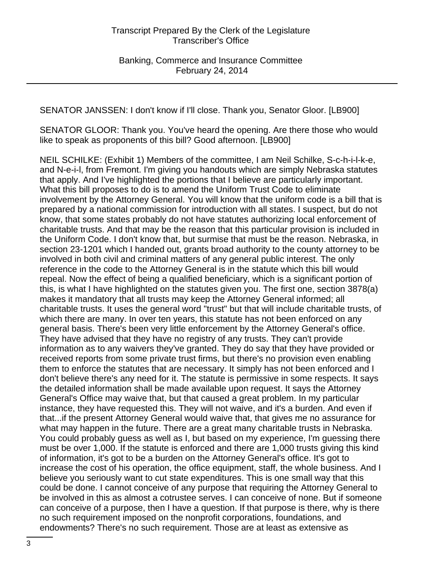SENATOR JANSSEN: I don't know if I'll close. Thank you, Senator Gloor. [LB900]

SENATOR GLOOR: Thank you. You've heard the opening. Are there those who would like to speak as proponents of this bill? Good afternoon. [LB900]

NEIL SCHILKE: (Exhibit 1) Members of the committee, I am Neil Schilke, S-c-h-i-l-k-e, and N-e-i-l, from Fremont. I'm giving you handouts which are simply Nebraska statutes that apply. And I've highlighted the portions that I believe are particularly important. What this bill proposes to do is to amend the Uniform Trust Code to eliminate involvement by the Attorney General. You will know that the uniform code is a bill that is prepared by a national commission for introduction with all states. I suspect, but do not know, that some states probably do not have statutes authorizing local enforcement of charitable trusts. And that may be the reason that this particular provision is included in the Uniform Code. I don't know that, but surmise that must be the reason. Nebraska, in section 23-1201 which I handed out, grants broad authority to the county attorney to be involved in both civil and criminal matters of any general public interest. The only reference in the code to the Attorney General is in the statute which this bill would repeal. Now the effect of being a qualified beneficiary, which is a significant portion of this, is what I have highlighted on the statutes given you. The first one, section 3878(a) makes it mandatory that all trusts may keep the Attorney General informed; all charitable trusts. It uses the general word "trust" but that will include charitable trusts, of which there are many. In over ten years, this statute has not been enforced on any general basis. There's been very little enforcement by the Attorney General's office. They have advised that they have no registry of any trusts. They can't provide information as to any waivers they've granted. They do say that they have provided or received reports from some private trust firms, but there's no provision even enabling them to enforce the statutes that are necessary. It simply has not been enforced and I don't believe there's any need for it. The statute is permissive in some respects. It says the detailed information shall be made available upon request. It says the Attorney General's Office may waive that, but that caused a great problem. In my particular instance, they have requested this. They will not waive, and it's a burden. And even if that...if the present Attorney General would waive that, that gives me no assurance for what may happen in the future. There are a great many charitable trusts in Nebraska. You could probably guess as well as I, but based on my experience, I'm guessing there must be over 1,000. If the statute is enforced and there are 1,000 trusts giving this kind of information, it's got to be a burden on the Attorney General's office. It's got to increase the cost of his operation, the office equipment, staff, the whole business. And I believe you seriously want to cut state expenditures. This is one small way that this could be done. I cannot conceive of any purpose that requiring the Attorney General to be involved in this as almost a cotrustee serves. I can conceive of none. But if someone can conceive of a purpose, then I have a question. If that purpose is there, why is there no such requirement imposed on the nonprofit corporations, foundations, and endowments? There's no such requirement. Those are at least as extensive as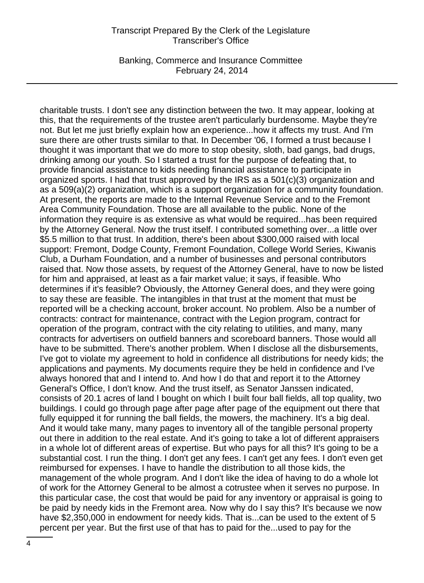Banking, Commerce and Insurance Committee February 24, 2014

charitable trusts. I don't see any distinction between the two. It may appear, looking at this, that the requirements of the trustee aren't particularly burdensome. Maybe they're not. But let me just briefly explain how an experience...how it affects my trust. And I'm sure there are other trusts similar to that. In December '06, I formed a trust because I thought it was important that we do more to stop obesity, sloth, bad gangs, bad drugs, drinking among our youth. So I started a trust for the purpose of defeating that, to provide financial assistance to kids needing financial assistance to participate in organized sports. I had that trust approved by the IRS as a 501(c)(3) organization and as a 509(a)(2) organization, which is a support organization for a community foundation. At present, the reports are made to the Internal Revenue Service and to the Fremont Area Community Foundation. Those are all available to the public. None of the information they require is as extensive as what would be required...has been required by the Attorney General. Now the trust itself. I contributed something over...a little over \$5.5 million to that trust. In addition, there's been about \$300,000 raised with local support: Fremont, Dodge County, Fremont Foundation, College World Series, Kiwanis Club, a Durham Foundation, and a number of businesses and personal contributors raised that. Now those assets, by request of the Attorney General, have to now be listed for him and appraised, at least as a fair market value; it says, if feasible. Who determines if it's feasible? Obviously, the Attorney General does, and they were going to say these are feasible. The intangibles in that trust at the moment that must be reported will be a checking account, broker account. No problem. Also be a number of contracts: contract for maintenance, contract with the Legion program, contract for operation of the program, contract with the city relating to utilities, and many, many contracts for advertisers on outfield banners and scoreboard banners. Those would all have to be submitted. There's another problem. When I disclose all the disbursements, I've got to violate my agreement to hold in confidence all distributions for needy kids; the applications and payments. My documents require they be held in confidence and I've always honored that and I intend to. And how I do that and report it to the Attorney General's Office, I don't know. And the trust itself, as Senator Janssen indicated, consists of 20.1 acres of land I bought on which I built four ball fields, all top quality, two buildings. I could go through page after page after page of the equipment out there that fully equipped it for running the ball fields, the mowers, the machinery. It's a big deal. And it would take many, many pages to inventory all of the tangible personal property out there in addition to the real estate. And it's going to take a lot of different appraisers in a whole lot of different areas of expertise. But who pays for all this? It's going to be a substantial cost. I run the thing. I don't get any fees. I can't get any fees. I don't even get reimbursed for expenses. I have to handle the distribution to all those kids, the management of the whole program. And I don't like the idea of having to do a whole lot of work for the Attorney General to be almost a cotrustee when it serves no purpose. In this particular case, the cost that would be paid for any inventory or appraisal is going to be paid by needy kids in the Fremont area. Now why do I say this? It's because we now have \$2,350,000 in endowment for needy kids. That is...can be used to the extent of 5 percent per year. But the first use of that has to paid for the...used to pay for the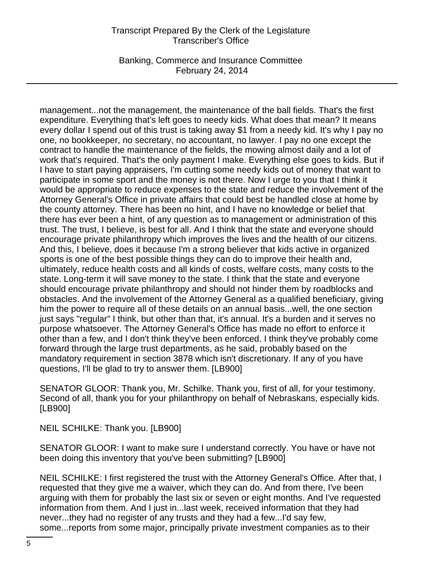Banking, Commerce and Insurance Committee February 24, 2014

management...not the management, the maintenance of the ball fields. That's the first expenditure. Everything that's left goes to needy kids. What does that mean? It means every dollar I spend out of this trust is taking away \$1 from a needy kid. It's why I pay no one, no bookkeeper, no secretary, no accountant, no lawyer. I pay no one except the contract to handle the maintenance of the fields, the mowing almost daily and a lot of work that's required. That's the only payment I make. Everything else goes to kids. But if I have to start paying appraisers, I'm cutting some needy kids out of money that want to participate in some sport and the money is not there. Now I urge to you that I think it would be appropriate to reduce expenses to the state and reduce the involvement of the Attorney General's Office in private affairs that could best be handled close at home by the county attorney. There has been no hint, and I have no knowledge or belief that there has ever been a hint, of any question as to management or administration of this trust. The trust, I believe, is best for all. And I think that the state and everyone should encourage private philanthropy which improves the lives and the health of our citizens. And this, I believe, does it because I'm a strong believer that kids active in organized sports is one of the best possible things they can do to improve their health and, ultimately, reduce health costs and all kinds of costs, welfare costs, many costs to the state. Long-term it will save money to the state. I think that the state and everyone should encourage private philanthropy and should not hinder them by roadblocks and obstacles. And the involvement of the Attorney General as a qualified beneficiary, giving him the power to require all of these details on an annual basis...well, the one section just says "regular" I think, but other than that, it's annual. It's a burden and it serves no purpose whatsoever. The Attorney General's Office has made no effort to enforce it other than a few, and I don't think they've been enforced. I think they've probably come forward through the large trust departments, as he said, probably based on the mandatory requirement in section 3878 which isn't discretionary. If any of you have questions, I'll be glad to try to answer them. [LB900]

SENATOR GLOOR: Thank you, Mr. Schilke. Thank you, first of all, for your testimony. Second of all, thank you for your philanthropy on behalf of Nebraskans, especially kids. [LB900]

NEIL SCHILKE: Thank you. [LB900]

SENATOR GLOOR: I want to make sure I understand correctly. You have or have not been doing this inventory that you've been submitting? [LB900]

NEIL SCHILKE: I first registered the trust with the Attorney General's Office. After that, I requested that they give me a waiver, which they can do. And from there, I've been arguing with them for probably the last six or seven or eight months. And I've requested information from them. And I just in...last week, received information that they had never...they had no register of any trusts and they had a few...I'd say few, some...reports from some major, principally private investment companies as to their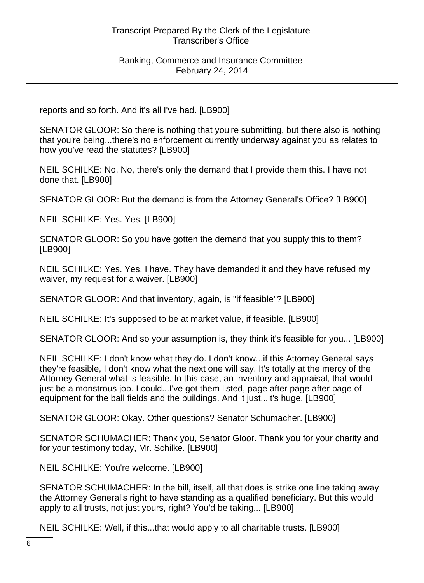reports and so forth. And it's all I've had. [LB900]

SENATOR GLOOR: So there is nothing that you're submitting, but there also is nothing that you're being...there's no enforcement currently underway against you as relates to how you've read the statutes? [LB900]

NEIL SCHILKE: No. No, there's only the demand that I provide them this. I have not done that. [LB900]

SENATOR GLOOR: But the demand is from the Attorney General's Office? [LB900]

NEIL SCHILKE: Yes. Yes. [LB900]

SENATOR GLOOR: So you have gotten the demand that you supply this to them? [LB900]

NEIL SCHILKE: Yes. Yes, I have. They have demanded it and they have refused my waiver, my request for a waiver. [LB900]

SENATOR GLOOR: And that inventory, again, is "if feasible"? [LB900]

NEIL SCHILKE: It's supposed to be at market value, if feasible. [LB900]

SENATOR GLOOR: And so your assumption is, they think it's feasible for you... [LB900]

NEIL SCHILKE: I don't know what they do. I don't know...if this Attorney General says they're feasible, I don't know what the next one will say. It's totally at the mercy of the Attorney General what is feasible. In this case, an inventory and appraisal, that would just be a monstrous job. I could...I've got them listed, page after page after page of equipment for the ball fields and the buildings. And it just...it's huge. [LB900]

SENATOR GLOOR: Okay. Other questions? Senator Schumacher. [LB900]

SENATOR SCHUMACHER: Thank you, Senator Gloor. Thank you for your charity and for your testimony today, Mr. Schilke. [LB900]

NEIL SCHILKE: You're welcome. [LB900]

SENATOR SCHUMACHER: In the bill, itself, all that does is strike one line taking away the Attorney General's right to have standing as a qualified beneficiary. But this would apply to all trusts, not just yours, right? You'd be taking... [LB900]

NEIL SCHILKE: Well, if this...that would apply to all charitable trusts. [LB900]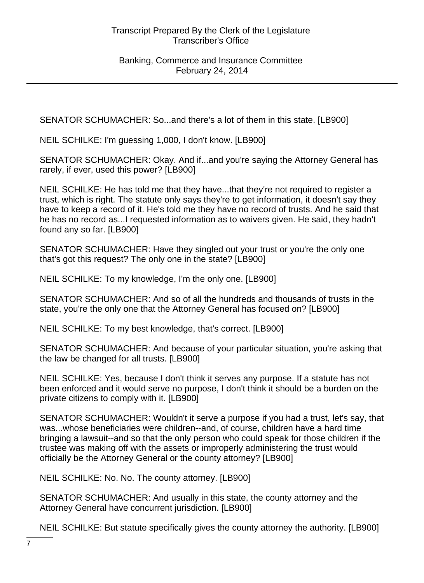SENATOR SCHUMACHER: So...and there's a lot of them in this state. [LB900]

NEIL SCHILKE: I'm guessing 1,000, I don't know. [LB900]

SENATOR SCHUMACHER: Okay. And if...and you're saying the Attorney General has rarely, if ever, used this power? [LB900]

NEIL SCHILKE: He has told me that they have...that they're not required to register a trust, which is right. The statute only says they're to get information, it doesn't say they have to keep a record of it. He's told me they have no record of trusts. And he said that he has no record as...I requested information as to waivers given. He said, they hadn't found any so far. [LB900]

SENATOR SCHUMACHER: Have they singled out your trust or you're the only one that's got this request? The only one in the state? [LB900]

NEIL SCHILKE: To my knowledge, I'm the only one. [LB900]

SENATOR SCHUMACHER: And so of all the hundreds and thousands of trusts in the state, you're the only one that the Attorney General has focused on? [LB900]

NEIL SCHILKE: To my best knowledge, that's correct. [LB900]

SENATOR SCHUMACHER: And because of your particular situation, you're asking that the law be changed for all trusts. [LB900]

NEIL SCHILKE: Yes, because I don't think it serves any purpose. If a statute has not been enforced and it would serve no purpose, I don't think it should be a burden on the private citizens to comply with it. [LB900]

SENATOR SCHUMACHER: Wouldn't it serve a purpose if you had a trust, let's say, that was...whose beneficiaries were children--and, of course, children have a hard time bringing a lawsuit--and so that the only person who could speak for those children if the trustee was making off with the assets or improperly administering the trust would officially be the Attorney General or the county attorney? [LB900]

NEIL SCHILKE: No. No. The county attorney. [LB900]

SENATOR SCHUMACHER: And usually in this state, the county attorney and the Attorney General have concurrent jurisdiction. [LB900]

NEIL SCHILKE: But statute specifically gives the county attorney the authority. [LB900]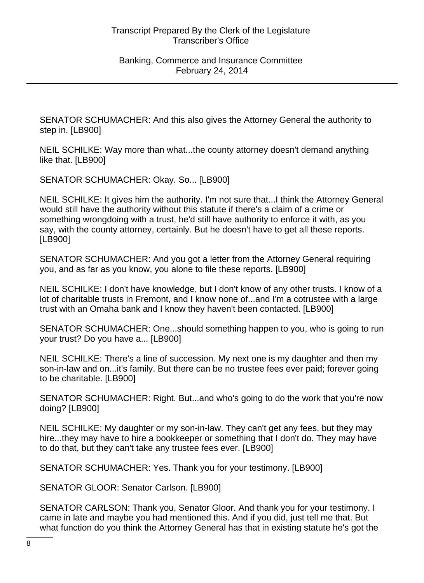SENATOR SCHUMACHER: And this also gives the Attorney General the authority to step in. [LB900]

NEIL SCHILKE: Way more than what...the county attorney doesn't demand anything like that. [LB900]

SENATOR SCHUMACHER: Okay. So... [LB900]

NEIL SCHILKE: It gives him the authority. I'm not sure that...I think the Attorney General would still have the authority without this statute if there's a claim of a crime or something wrongdoing with a trust, he'd still have authority to enforce it with, as you say, with the county attorney, certainly. But he doesn't have to get all these reports. [LB900]

SENATOR SCHUMACHER: And you got a letter from the Attorney General requiring you, and as far as you know, you alone to file these reports. [LB900]

NEIL SCHILKE: I don't have knowledge, but I don't know of any other trusts. I know of a lot of charitable trusts in Fremont, and I know none of...and I'm a cotrustee with a large trust with an Omaha bank and I know they haven't been contacted. [LB900]

SENATOR SCHUMACHER: One...should something happen to you, who is going to run your trust? Do you have a... [LB900]

NEIL SCHILKE: There's a line of succession. My next one is my daughter and then my son-in-law and on...it's family. But there can be no trustee fees ever paid; forever going to be charitable. [LB900]

SENATOR SCHUMACHER: Right. But...and who's going to do the work that you're now doing? [LB900]

NEIL SCHILKE: My daughter or my son-in-law. They can't get any fees, but they may hire...they may have to hire a bookkeeper or something that I don't do. They may have to do that, but they can't take any trustee fees ever. [LB900]

SENATOR SCHUMACHER: Yes. Thank you for your testimony. [LB900]

SENATOR GLOOR: Senator Carlson. [LB900]

SENATOR CARLSON: Thank you, Senator Gloor. And thank you for your testimony. I came in late and maybe you had mentioned this. And if you did, just tell me that. But what function do you think the Attorney General has that in existing statute he's got the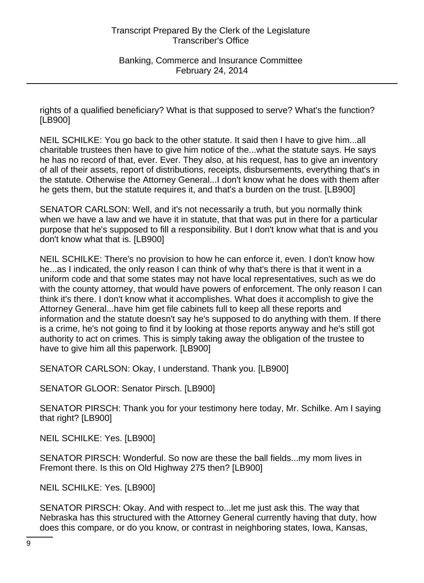rights of a qualified beneficiary? What is that supposed to serve? What's the function? [LB900]

NEIL SCHILKE: You go back to the other statute. It said then I have to give him...all charitable trustees then have to give him notice of the...what the statute says. He says he has no record of that, ever. Ever. They also, at his request, has to give an inventory of all of their assets, report of distributions, receipts, disbursements, everything that's in the statute. Otherwise the Attorney General...I don't know what he does with them after he gets them, but the statute requires it, and that's a burden on the trust. [LB900]

SENATOR CARLSON: Well, and it's not necessarily a truth, but you normally think when we have a law and we have it in statute, that that was put in there for a particular purpose that he's supposed to fill a responsibility. But I don't know what that is and you don't know what that is. [LB900]

NEIL SCHILKE: There's no provision to how he can enforce it, even. I don't know how he...as I indicated, the only reason I can think of why that's there is that it went in a uniform code and that some states may not have local representatives, such as we do with the county attorney, that would have powers of enforcement. The only reason I can think it's there. I don't know what it accomplishes. What does it accomplish to give the Attorney General...have him get file cabinets full to keep all these reports and information and the statute doesn't say he's supposed to do anything with them. If there is a crime, he's not going to find it by looking at those reports anyway and he's still got authority to act on crimes. This is simply taking away the obligation of the trustee to have to give him all this paperwork. [LB900]

SENATOR CARLSON: Okay, I understand. Thank you. [LB900]

SENATOR GLOOR: Senator Pirsch. [LB900]

SENATOR PIRSCH: Thank you for your testimony here today, Mr. Schilke. Am I saying that right? [LB900]

NEIL SCHILKE: Yes. [LB900]

SENATOR PIRSCH: Wonderful. So now are these the ball fields...my mom lives in Fremont there. Is this on Old Highway 275 then? [LB900]

NEIL SCHILKE: Yes. [LB900]

SENATOR PIRSCH: Okay. And with respect to...let me just ask this. The way that Nebraska has this structured with the Attorney General currently having that duty, how does this compare, or do you know, or contrast in neighboring states, Iowa, Kansas,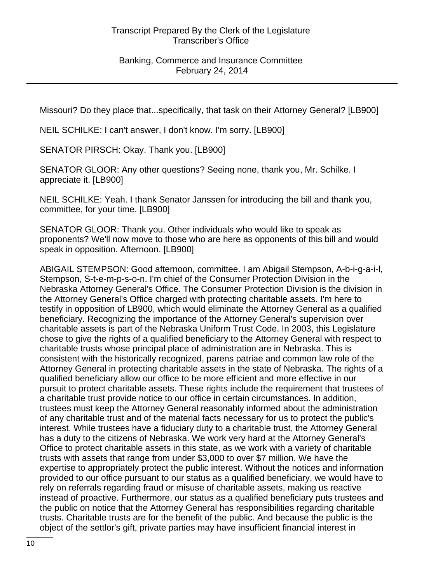### Banking, Commerce and Insurance Committee February 24, 2014

Missouri? Do they place that...specifically, that task on their Attorney General? [LB900]

NEIL SCHILKE: I can't answer, I don't know. I'm sorry. [LB900]

SENATOR PIRSCH: Okay. Thank you. [LB900]

SENATOR GLOOR: Any other questions? Seeing none, thank you, Mr. Schilke. I appreciate it. [LB900]

NEIL SCHILKE: Yeah. I thank Senator Janssen for introducing the bill and thank you, committee, for your time. [LB900]

SENATOR GLOOR: Thank you. Other individuals who would like to speak as proponents? We'll now move to those who are here as opponents of this bill and would speak in opposition. Afternoon. [LB900]

ABIGAIL STEMPSON: Good afternoon, committee. I am Abigail Stempson, A-b-i-g-a-i-l, Stempson, S-t-e-m-p-s-o-n. I'm chief of the Consumer Protection Division in the Nebraska Attorney General's Office. The Consumer Protection Division is the division in the Attorney General's Office charged with protecting charitable assets. I'm here to testify in opposition of LB900, which would eliminate the Attorney General as a qualified beneficiary. Recognizing the importance of the Attorney General's supervision over charitable assets is part of the Nebraska Uniform Trust Code. In 2003, this Legislature chose to give the rights of a qualified beneficiary to the Attorney General with respect to charitable trusts whose principal place of administration are in Nebraska. This is consistent with the historically recognized, parens patriae and common law role of the Attorney General in protecting charitable assets in the state of Nebraska. The rights of a qualified beneficiary allow our office to be more efficient and more effective in our pursuit to protect charitable assets. These rights include the requirement that trustees of a charitable trust provide notice to our office in certain circumstances. In addition, trustees must keep the Attorney General reasonably informed about the administration of any charitable trust and of the material facts necessary for us to protect the public's interest. While trustees have a fiduciary duty to a charitable trust, the Attorney General has a duty to the citizens of Nebraska. We work very hard at the Attorney General's Office to protect charitable assets in this state, as we work with a variety of charitable trusts with assets that range from under \$3,000 to over \$7 million. We have the expertise to appropriately protect the public interest. Without the notices and information provided to our office pursuant to our status as a qualified beneficiary, we would have to rely on referrals regarding fraud or misuse of charitable assets, making us reactive instead of proactive. Furthermore, our status as a qualified beneficiary puts trustees and the public on notice that the Attorney General has responsibilities regarding charitable trusts. Charitable trusts are for the benefit of the public. And because the public is the object of the settlor's gift, private parties may have insufficient financial interest in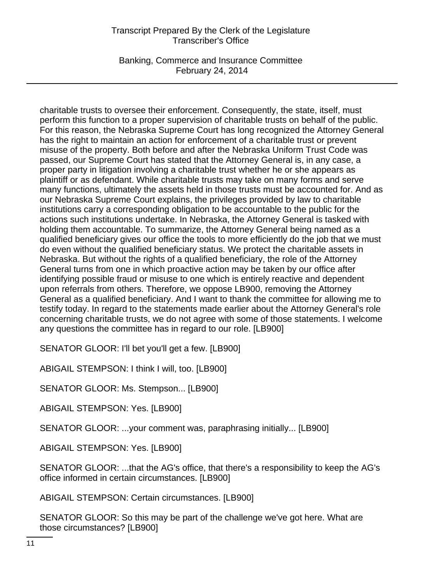Banking, Commerce and Insurance Committee February 24, 2014

charitable trusts to oversee their enforcement. Consequently, the state, itself, must perform this function to a proper supervision of charitable trusts on behalf of the public. For this reason, the Nebraska Supreme Court has long recognized the Attorney General has the right to maintain an action for enforcement of a charitable trust or prevent misuse of the property. Both before and after the Nebraska Uniform Trust Code was passed, our Supreme Court has stated that the Attorney General is, in any case, a proper party in litigation involving a charitable trust whether he or she appears as plaintiff or as defendant. While charitable trusts may take on many forms and serve many functions, ultimately the assets held in those trusts must be accounted for. And as our Nebraska Supreme Court explains, the privileges provided by law to charitable institutions carry a corresponding obligation to be accountable to the public for the actions such institutions undertake. In Nebraska, the Attorney General is tasked with holding them accountable. To summarize, the Attorney General being named as a qualified beneficiary gives our office the tools to more efficiently do the job that we must do even without the qualified beneficiary status. We protect the charitable assets in Nebraska. But without the rights of a qualified beneficiary, the role of the Attorney General turns from one in which proactive action may be taken by our office after identifying possible fraud or misuse to one which is entirely reactive and dependent upon referrals from others. Therefore, we oppose LB900, removing the Attorney General as a qualified beneficiary. And I want to thank the committee for allowing me to testify today. In regard to the statements made earlier about the Attorney General's role concerning charitable trusts, we do not agree with some of those statements. I welcome any questions the committee has in regard to our role. [LB900]

SENATOR GLOOR: I'll bet you'll get a few. [LB900]

ABIGAIL STEMPSON: I think I will, too. [LB900]

SENATOR GLOOR: Ms. Stempson... [LB900]

ABIGAIL STEMPSON: Yes. [LB900]

SENATOR GLOOR: ...your comment was, paraphrasing initially... [LB900]

ABIGAIL STEMPSON: Yes. [LB900]

SENATOR GLOOR: ...that the AG's office, that there's a responsibility to keep the AG's office informed in certain circumstances. [LB900]

ABIGAIL STEMPSON: Certain circumstances. [LB900]

SENATOR GLOOR: So this may be part of the challenge we've got here. What are those circumstances? [LB900]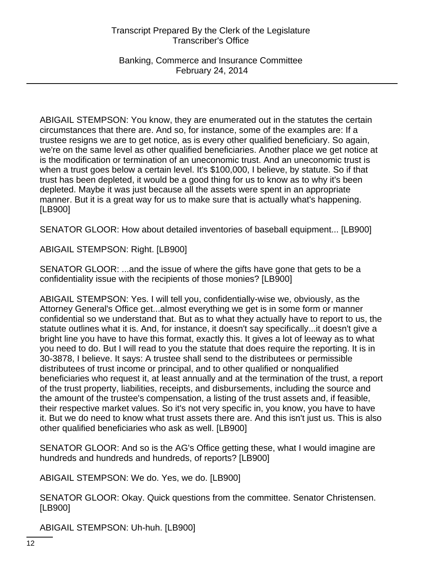Banking, Commerce and Insurance Committee February 24, 2014

ABIGAIL STEMPSON: You know, they are enumerated out in the statutes the certain circumstances that there are. And so, for instance, some of the examples are: If a trustee resigns we are to get notice, as is every other qualified beneficiary. So again, we're on the same level as other qualified beneficiaries. Another place we get notice at is the modification or termination of an uneconomic trust. And an uneconomic trust is when a trust goes below a certain level. It's \$100,000, I believe, by statute. So if that trust has been depleted, it would be a good thing for us to know as to why it's been depleted. Maybe it was just because all the assets were spent in an appropriate manner. But it is a great way for us to make sure that is actually what's happening. [LB900]

SENATOR GLOOR: How about detailed inventories of baseball equipment... [LB900]

ABIGAIL STEMPSON: Right. [LB900]

SENATOR GLOOR: ...and the issue of where the gifts have gone that gets to be a confidentiality issue with the recipients of those monies? [LB900]

ABIGAIL STEMPSON: Yes. I will tell you, confidentially-wise we, obviously, as the Attorney General's Office get...almost everything we get is in some form or manner confidential so we understand that. But as to what they actually have to report to us, the statute outlines what it is. And, for instance, it doesn't say specifically...it doesn't give a bright line you have to have this format, exactly this. It gives a lot of leeway as to what you need to do. But I will read to you the statute that does require the reporting. It is in 30-3878, I believe. It says: A trustee shall send to the distributees or permissible distributees of trust income or principal, and to other qualified or nonqualified beneficiaries who request it, at least annually and at the termination of the trust, a report of the trust property, liabilities, receipts, and disbursements, including the source and the amount of the trustee's compensation, a listing of the trust assets and, if feasible, their respective market values. So it's not very specific in, you know, you have to have it. But we do need to know what trust assets there are. And this isn't just us. This is also other qualified beneficiaries who ask as well. [LB900]

SENATOR GLOOR: And so is the AG's Office getting these, what I would imagine are hundreds and hundreds and hundreds, of reports? [LB900]

ABIGAIL STEMPSON: We do. Yes, we do. [LB900]

SENATOR GLOOR: Okay. Quick questions from the committee. Senator Christensen. [LB900]

ABIGAIL STEMPSON: Uh-huh. [LB900]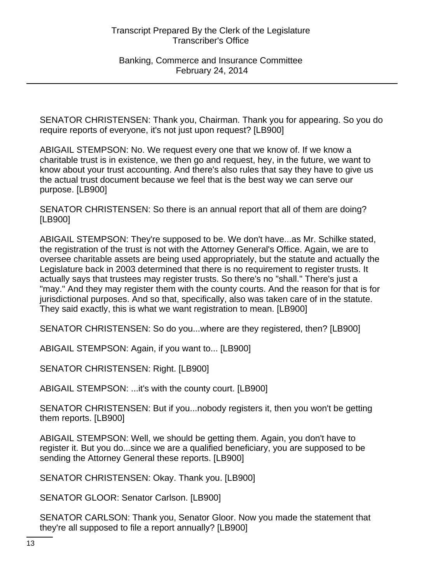SENATOR CHRISTENSEN: Thank you, Chairman. Thank you for appearing. So you do require reports of everyone, it's not just upon request? [LB900]

ABIGAIL STEMPSON: No. We request every one that we know of. If we know a charitable trust is in existence, we then go and request, hey, in the future, we want to know about your trust accounting. And there's also rules that say they have to give us the actual trust document because we feel that is the best way we can serve our purpose. [LB900]

SENATOR CHRISTENSEN: So there is an annual report that all of them are doing? [LB900]

ABIGAIL STEMPSON: They're supposed to be. We don't have...as Mr. Schilke stated, the registration of the trust is not with the Attorney General's Office. Again, we are to oversee charitable assets are being used appropriately, but the statute and actually the Legislature back in 2003 determined that there is no requirement to register trusts. It actually says that trustees may register trusts. So there's no "shall." There's just a "may." And they may register them with the county courts. And the reason for that is for jurisdictional purposes. And so that, specifically, also was taken care of in the statute. They said exactly, this is what we want registration to mean. [LB900]

SENATOR CHRISTENSEN: So do you...where are they registered, then? [LB900]

ABIGAIL STEMPSON: Again, if you want to... [LB900]

SENATOR CHRISTENSEN: Right. [LB900]

ABIGAIL STEMPSON: ...it's with the county court. [LB900]

SENATOR CHRISTENSEN: But if you...nobody registers it, then you won't be getting them reports. [LB900]

ABIGAIL STEMPSON: Well, we should be getting them. Again, you don't have to register it. But you do...since we are a qualified beneficiary, you are supposed to be sending the Attorney General these reports. [LB900]

SENATOR CHRISTENSEN: Okay. Thank you. [LB900]

SENATOR GLOOR: Senator Carlson. [LB900]

SENATOR CARLSON: Thank you, Senator Gloor. Now you made the statement that they're all supposed to file a report annually? [LB900]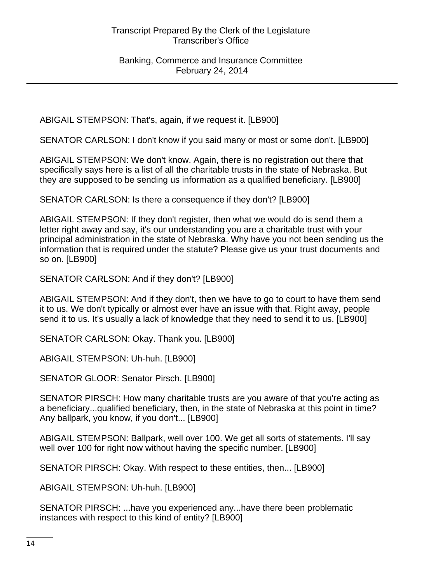ABIGAIL STEMPSON: That's, again, if we request it. [LB900]

SENATOR CARLSON: I don't know if you said many or most or some don't. [LB900]

ABIGAIL STEMPSON: We don't know. Again, there is no registration out there that specifically says here is a list of all the charitable trusts in the state of Nebraska. But they are supposed to be sending us information as a qualified beneficiary. [LB900]

SENATOR CARLSON: Is there a consequence if they don't? [LB900]

ABIGAIL STEMPSON: If they don't register, then what we would do is send them a letter right away and say, it's our understanding you are a charitable trust with your principal administration in the state of Nebraska. Why have you not been sending us the information that is required under the statute? Please give us your trust documents and so on. [LB900]

SENATOR CARLSON: And if they don't? [LB900]

ABIGAIL STEMPSON: And if they don't, then we have to go to court to have them send it to us. We don't typically or almost ever have an issue with that. Right away, people send it to us. It's usually a lack of knowledge that they need to send it to us. [LB900]

SENATOR CARLSON: Okay. Thank you. [LB900]

ABIGAIL STEMPSON: Uh-huh. [LB900]

SENATOR GLOOR: Senator Pirsch. [LB900]

SENATOR PIRSCH: How many charitable trusts are you aware of that you're acting as a beneficiary...qualified beneficiary, then, in the state of Nebraska at this point in time? Any ballpark, you know, if you don't... [LB900]

ABIGAIL STEMPSON: Ballpark, well over 100. We get all sorts of statements. I'll say well over 100 for right now without having the specific number. [LB900]

SENATOR PIRSCH: Okay. With respect to these entities, then... [LB900]

ABIGAIL STEMPSON: Uh-huh. [LB900]

SENATOR PIRSCH: ...have you experienced any...have there been problematic instances with respect to this kind of entity? [LB900]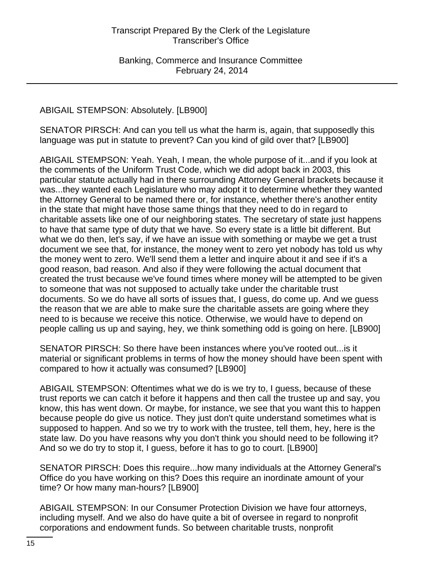# ABIGAIL STEMPSON: Absolutely. [LB900]

SENATOR PIRSCH: And can you tell us what the harm is, again, that supposedly this language was put in statute to prevent? Can you kind of gild over that? [LB900]

ABIGAIL STEMPSON: Yeah. Yeah, I mean, the whole purpose of it...and if you look at the comments of the Uniform Trust Code, which we did adopt back in 2003, this particular statute actually had in there surrounding Attorney General brackets because it was...they wanted each Legislature who may adopt it to determine whether they wanted the Attorney General to be named there or, for instance, whether there's another entity in the state that might have those same things that they need to do in regard to charitable assets like one of our neighboring states. The secretary of state just happens to have that same type of duty that we have. So every state is a little bit different. But what we do then, let's say, if we have an issue with something or maybe we get a trust document we see that, for instance, the money went to zero yet nobody has told us why the money went to zero. We'll send them a letter and inquire about it and see if it's a good reason, bad reason. And also if they were following the actual document that created the trust because we've found times where money will be attempted to be given to someone that was not supposed to actually take under the charitable trust documents. So we do have all sorts of issues that, I guess, do come up. And we guess the reason that we are able to make sure the charitable assets are going where they need to is because we receive this notice. Otherwise, we would have to depend on people calling us up and saying, hey, we think something odd is going on here. [LB900]

SENATOR PIRSCH: So there have been instances where you've rooted out...is it material or significant problems in terms of how the money should have been spent with compared to how it actually was consumed? [LB900]

ABIGAIL STEMPSON: Oftentimes what we do is we try to, I guess, because of these trust reports we can catch it before it happens and then call the trustee up and say, you know, this has went down. Or maybe, for instance, we see that you want this to happen because people do give us notice. They just don't quite understand sometimes what is supposed to happen. And so we try to work with the trustee, tell them, hey, here is the state law. Do you have reasons why you don't think you should need to be following it? And so we do try to stop it, I guess, before it has to go to court. [LB900]

SENATOR PIRSCH: Does this require...how many individuals at the Attorney General's Office do you have working on this? Does this require an inordinate amount of your time? Or how many man-hours? [LB900]

ABIGAIL STEMPSON: In our Consumer Protection Division we have four attorneys, including myself. And we also do have quite a bit of oversee in regard to nonprofit corporations and endowment funds. So between charitable trusts, nonprofit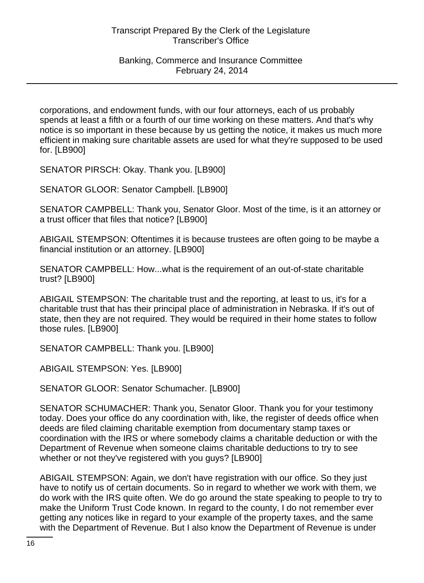corporations, and endowment funds, with our four attorneys, each of us probably spends at least a fifth or a fourth of our time working on these matters. And that's why notice is so important in these because by us getting the notice, it makes us much more efficient in making sure charitable assets are used for what they're supposed to be used for. [LB900]

SENATOR PIRSCH: Okay. Thank you. [LB900]

SENATOR GLOOR: Senator Campbell. [LB900]

SENATOR CAMPBELL: Thank you, Senator Gloor. Most of the time, is it an attorney or a trust officer that files that notice? [LB900]

ABIGAIL STEMPSON: Oftentimes it is because trustees are often going to be maybe a financial institution or an attorney. [LB900]

SENATOR CAMPBELL: How...what is the requirement of an out-of-state charitable trust? [LB900]

ABIGAIL STEMPSON: The charitable trust and the reporting, at least to us, it's for a charitable trust that has their principal place of administration in Nebraska. If it's out of state, then they are not required. They would be required in their home states to follow those rules. [LB900]

SENATOR CAMPBELL: Thank you. [LB900]

ABIGAIL STEMPSON: Yes. [LB900]

SENATOR GLOOR: Senator Schumacher. [LB900]

SENATOR SCHUMACHER: Thank you, Senator Gloor. Thank you for your testimony today. Does your office do any coordination with, like, the register of deeds office when deeds are filed claiming charitable exemption from documentary stamp taxes or coordination with the IRS or where somebody claims a charitable deduction or with the Department of Revenue when someone claims charitable deductions to try to see whether or not they've registered with you guys? [LB900]

ABIGAIL STEMPSON: Again, we don't have registration with our office. So they just have to notify us of certain documents. So in regard to whether we work with them, we do work with the IRS quite often. We do go around the state speaking to people to try to make the Uniform Trust Code known. In regard to the county, I do not remember ever getting any notices like in regard to your example of the property taxes, and the same with the Department of Revenue. But I also know the Department of Revenue is under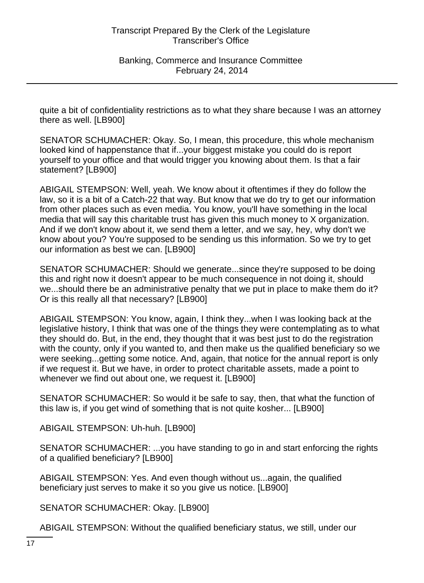quite a bit of confidentiality restrictions as to what they share because I was an attorney there as well. [LB900]

SENATOR SCHUMACHER: Okay. So, I mean, this procedure, this whole mechanism looked kind of happenstance that if...your biggest mistake you could do is report yourself to your office and that would trigger you knowing about them. Is that a fair statement? [LB900]

ABIGAIL STEMPSON: Well, yeah. We know about it oftentimes if they do follow the law, so it is a bit of a Catch-22 that way. But know that we do try to get our information from other places such as even media. You know, you'll have something in the local media that will say this charitable trust has given this much money to X organization. And if we don't know about it, we send them a letter, and we say, hey, why don't we know about you? You're supposed to be sending us this information. So we try to get our information as best we can. [LB900]

SENATOR SCHUMACHER: Should we generate...since they're supposed to be doing this and right now it doesn't appear to be much consequence in not doing it, should we...should there be an administrative penalty that we put in place to make them do it? Or is this really all that necessary? [LB900]

ABIGAIL STEMPSON: You know, again, I think they...when I was looking back at the legislative history, I think that was one of the things they were contemplating as to what they should do. But, in the end, they thought that it was best just to do the registration with the county, only if you wanted to, and then make us the qualified beneficiary so we were seeking...getting some notice. And, again, that notice for the annual report is only if we request it. But we have, in order to protect charitable assets, made a point to whenever we find out about one, we request it. [LB900]

SENATOR SCHUMACHER: So would it be safe to say, then, that what the function of this law is, if you get wind of something that is not quite kosher... [LB900]

ABIGAIL STEMPSON: Uh-huh. [LB900]

SENATOR SCHUMACHER: ...you have standing to go in and start enforcing the rights of a qualified beneficiary? [LB900]

ABIGAIL STEMPSON: Yes. And even though without us...again, the qualified beneficiary just serves to make it so you give us notice. [LB900]

SENATOR SCHUMACHER: Okay. [LB900]

ABIGAIL STEMPSON: Without the qualified beneficiary status, we still, under our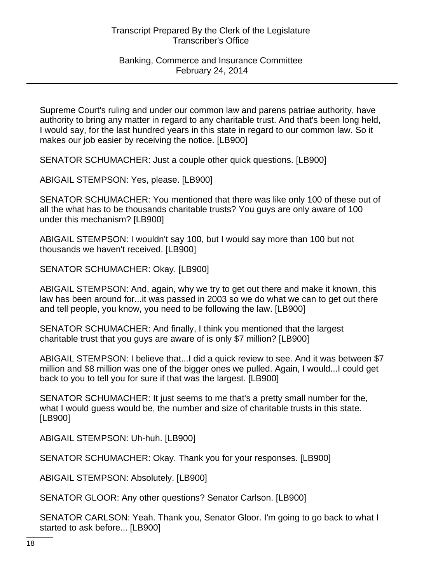Supreme Court's ruling and under our common law and parens patriae authority, have authority to bring any matter in regard to any charitable trust. And that's been long held, I would say, for the last hundred years in this state in regard to our common law. So it makes our job easier by receiving the notice. [LB900]

SENATOR SCHUMACHER: Just a couple other quick questions. [LB900]

ABIGAIL STEMPSON: Yes, please. [LB900]

SENATOR SCHUMACHER: You mentioned that there was like only 100 of these out of all the what has to be thousands charitable trusts? You guys are only aware of 100 under this mechanism? [LB900]

ABIGAIL STEMPSON: I wouldn't say 100, but I would say more than 100 but not thousands we haven't received. [LB900]

SENATOR SCHUMACHER: Okay. [LB900]

ABIGAIL STEMPSON: And, again, why we try to get out there and make it known, this law has been around for...it was passed in 2003 so we do what we can to get out there and tell people, you know, you need to be following the law. [LB900]

SENATOR SCHUMACHER: And finally, I think you mentioned that the largest charitable trust that you guys are aware of is only \$7 million? [LB900]

ABIGAIL STEMPSON: I believe that...I did a quick review to see. And it was between \$7 million and \$8 million was one of the bigger ones we pulled. Again, I would...I could get back to you to tell you for sure if that was the largest. [LB900]

SENATOR SCHUMACHER: It just seems to me that's a pretty small number for the, what I would guess would be, the number and size of charitable trusts in this state. [LB900]

ABIGAIL STEMPSON: Uh-huh. [LB900]

SENATOR SCHUMACHER: Okay. Thank you for your responses. [LB900]

ABIGAIL STEMPSON: Absolutely. [LB900]

SENATOR GLOOR: Any other questions? Senator Carlson. [LB900]

SENATOR CARLSON: Yeah. Thank you, Senator Gloor. I'm going to go back to what I started to ask before... [LB900]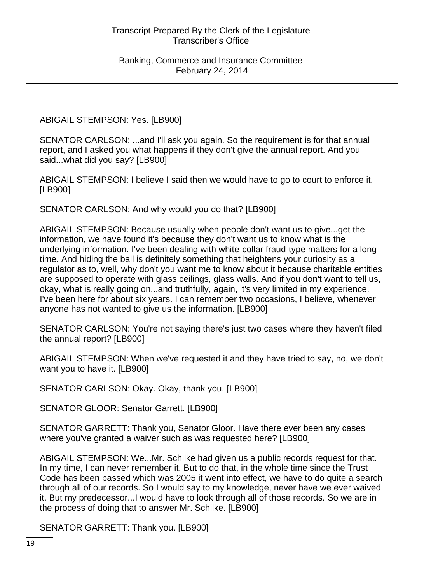ABIGAIL STEMPSON: Yes. [LB900]

SENATOR CARLSON: ...and I'll ask you again. So the requirement is for that annual report, and I asked you what happens if they don't give the annual report. And you said...what did you say? [LB900]

ABIGAIL STEMPSON: I believe I said then we would have to go to court to enforce it. [LB900]

SENATOR CARLSON: And why would you do that? [LB900]

ABIGAIL STEMPSON: Because usually when people don't want us to give...get the information, we have found it's because they don't want us to know what is the underlying information. I've been dealing with white-collar fraud-type matters for a long time. And hiding the ball is definitely something that heightens your curiosity as a regulator as to, well, why don't you want me to know about it because charitable entities are supposed to operate with glass ceilings, glass walls. And if you don't want to tell us, okay, what is really going on...and truthfully, again, it's very limited in my experience. I've been here for about six years. I can remember two occasions, I believe, whenever anyone has not wanted to give us the information. [LB900]

SENATOR CARLSON: You're not saying there's just two cases where they haven't filed the annual report? [LB900]

ABIGAIL STEMPSON: When we've requested it and they have tried to say, no, we don't want you to have it. [LB900]

SENATOR CARLSON: Okay. Okay, thank you. [LB900]

SENATOR GLOOR: Senator Garrett. [LB900]

SENATOR GARRETT: Thank you, Senator Gloor. Have there ever been any cases where you've granted a waiver such as was requested here? [LB900]

ABIGAIL STEMPSON: We...Mr. Schilke had given us a public records request for that. In my time, I can never remember it. But to do that, in the whole time since the Trust Code has been passed which was 2005 it went into effect, we have to do quite a search through all of our records. So I would say to my knowledge, never have we ever waived it. But my predecessor...I would have to look through all of those records. So we are in the process of doing that to answer Mr. Schilke. [LB900]

SENATOR GARRETT: Thank you. [LB900]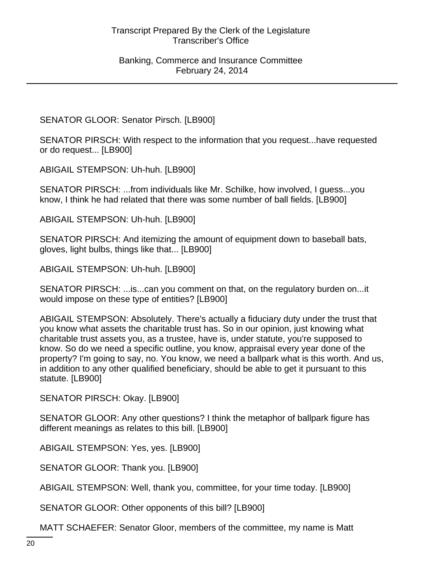SENATOR GLOOR: Senator Pirsch. [LB900]

SENATOR PIRSCH: With respect to the information that you request...have requested or do request... [LB900]

ABIGAIL STEMPSON: Uh-huh. [LB900]

SENATOR PIRSCH: ...from individuals like Mr. Schilke, how involved, I guess...you know, I think he had related that there was some number of ball fields. [LB900]

ABIGAIL STEMPSON: Uh-huh. [LB900]

SENATOR PIRSCH: And itemizing the amount of equipment down to baseball bats, gloves, light bulbs, things like that... [LB900]

ABIGAIL STEMPSON: Uh-huh. [LB900]

SENATOR PIRSCH: ...is...can you comment on that, on the regulatory burden on...it would impose on these type of entities? [LB900]

ABIGAIL STEMPSON: Absolutely. There's actually a fiduciary duty under the trust that you know what assets the charitable trust has. So in our opinion, just knowing what charitable trust assets you, as a trustee, have is, under statute, you're supposed to know. So do we need a specific outline, you know, appraisal every year done of the property? I'm going to say, no. You know, we need a ballpark what is this worth. And us, in addition to any other qualified beneficiary, should be able to get it pursuant to this statute. [LB900]

SENATOR PIRSCH: Okay. [LB900]

SENATOR GLOOR: Any other questions? I think the metaphor of ballpark figure has different meanings as relates to this bill. [LB900]

ABIGAIL STEMPSON: Yes, yes. [LB900]

SENATOR GLOOR: Thank you. [LB900]

ABIGAIL STEMPSON: Well, thank you, committee, for your time today. [LB900]

SENATOR GLOOR: Other opponents of this bill? [LB900]

MATT SCHAEFER: Senator Gloor, members of the committee, my name is Matt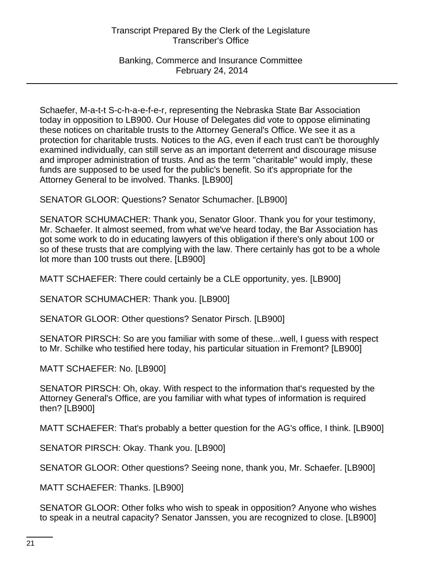Banking, Commerce and Insurance Committee February 24, 2014

Schaefer, M-a-t-t S-c-h-a-e-f-e-r, representing the Nebraska State Bar Association today in opposition to LB900. Our House of Delegates did vote to oppose eliminating these notices on charitable trusts to the Attorney General's Office. We see it as a protection for charitable trusts. Notices to the AG, even if each trust can't be thoroughly examined individually, can still serve as an important deterrent and discourage misuse and improper administration of trusts. And as the term "charitable" would imply, these funds are supposed to be used for the public's benefit. So it's appropriate for the Attorney General to be involved. Thanks. [LB900]

SENATOR GLOOR: Questions? Senator Schumacher. [LB900]

SENATOR SCHUMACHER: Thank you, Senator Gloor. Thank you for your testimony, Mr. Schaefer. It almost seemed, from what we've heard today, the Bar Association has got some work to do in educating lawyers of this obligation if there's only about 100 or so of these trusts that are complying with the law. There certainly has got to be a whole lot more than 100 trusts out there. [LB900]

MATT SCHAEFER: There could certainly be a CLE opportunity, yes. [LB900]

SENATOR SCHUMACHER: Thank you. [LB900]

SENATOR GLOOR: Other questions? Senator Pirsch. [LB900]

SENATOR PIRSCH: So are you familiar with some of these...well, I guess with respect to Mr. Schilke who testified here today, his particular situation in Fremont? [LB900]

MATT SCHAEFER: No. [LB900]

SENATOR PIRSCH: Oh, okay. With respect to the information that's requested by the Attorney General's Office, are you familiar with what types of information is required then? [LB900]

MATT SCHAEFER: That's probably a better question for the AG's office, I think. [LB900]

SENATOR PIRSCH: Okay. Thank you. [LB900]

SENATOR GLOOR: Other questions? Seeing none, thank you, Mr. Schaefer. [LB900]

MATT SCHAEFER: Thanks. [LB900]

SENATOR GLOOR: Other folks who wish to speak in opposition? Anyone who wishes to speak in a neutral capacity? Senator Janssen, you are recognized to close. [LB900]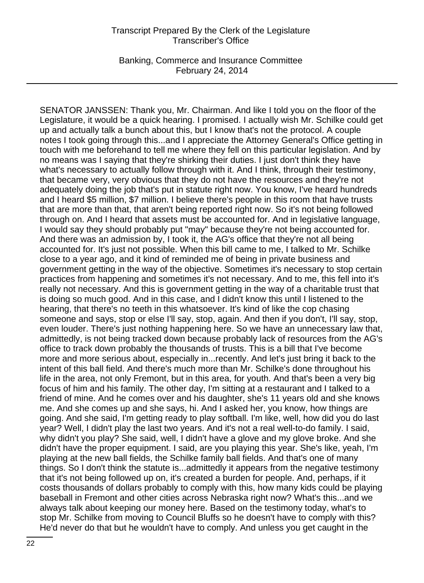Banking, Commerce and Insurance Committee February 24, 2014

SENATOR JANSSEN: Thank you, Mr. Chairman. And like I told you on the floor of the Legislature, it would be a quick hearing. I promised. I actually wish Mr. Schilke could get up and actually talk a bunch about this, but I know that's not the protocol. A couple notes I took going through this...and I appreciate the Attorney General's Office getting in touch with me beforehand to tell me where they fell on this particular legislation. And by no means was I saying that they're shirking their duties. I just don't think they have what's necessary to actually follow through with it. And I think, through their testimony, that became very, very obvious that they do not have the resources and they're not adequately doing the job that's put in statute right now. You know, I've heard hundreds and I heard \$5 million, \$7 million. I believe there's people in this room that have trusts that are more than that, that aren't being reported right now. So it's not being followed through on. And I heard that assets must be accounted for. And in legislative language, I would say they should probably put "may" because they're not being accounted for. And there was an admission by, I took it, the AG's office that they're not all being accounted for. It's just not possible. When this bill came to me, I talked to Mr. Schilke close to a year ago, and it kind of reminded me of being in private business and government getting in the way of the objective. Sometimes it's necessary to stop certain practices from happening and sometimes it's not necessary. And to me, this fell into it's really not necessary. And this is government getting in the way of a charitable trust that is doing so much good. And in this case, and I didn't know this until I listened to the hearing, that there's no teeth in this whatsoever. It's kind of like the cop chasing someone and says, stop or else I'll say, stop, again. And then if you don't, I'll say, stop, even louder. There's just nothing happening here. So we have an unnecessary law that, admittedly, is not being tracked down because probably lack of resources from the AG's office to track down probably the thousands of trusts. This is a bill that I've become more and more serious about, especially in...recently. And let's just bring it back to the intent of this ball field. And there's much more than Mr. Schilke's done throughout his life in the area, not only Fremont, but in this area, for youth. And that's been a very big focus of him and his family. The other day, I'm sitting at a restaurant and I talked to a friend of mine. And he comes over and his daughter, she's 11 years old and she knows me. And she comes up and she says, hi. And I asked her, you know, how things are going. And she said, I'm getting ready to play softball. I'm like, well, how did you do last year? Well, I didn't play the last two years. And it's not a real well-to-do family. I said, why didn't you play? She said, well, I didn't have a glove and my glove broke. And she didn't have the proper equipment. I said, are you playing this year. She's like, yeah, I'm playing at the new ball fields, the Schilke family ball fields. And that's one of many things. So I don't think the statute is...admittedly it appears from the negative testimony that it's not being followed up on, it's created a burden for people. And, perhaps, if it costs thousands of dollars probably to comply with this, how many kids could be playing baseball in Fremont and other cities across Nebraska right now? What's this...and we always talk about keeping our money here. Based on the testimony today, what's to stop Mr. Schilke from moving to Council Bluffs so he doesn't have to comply with this? He'd never do that but he wouldn't have to comply. And unless you get caught in the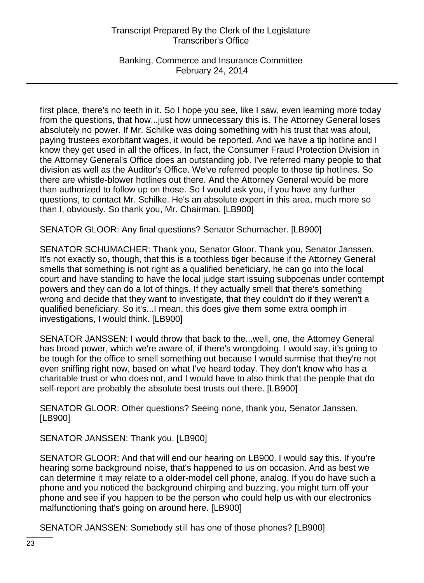Banking, Commerce and Insurance Committee February 24, 2014

first place, there's no teeth in it. So I hope you see, like I saw, even learning more today from the questions, that how...just how unnecessary this is. The Attorney General loses absolutely no power. If Mr. Schilke was doing something with his trust that was afoul, paying trustees exorbitant wages, it would be reported. And we have a tip hotline and I know they get used in all the offices. In fact, the Consumer Fraud Protection Division in the Attorney General's Office does an outstanding job. I've referred many people to that division as well as the Auditor's Office. We've referred people to those tip hotlines. So there are whistle-blower hotlines out there. And the Attorney General would be more than authorized to follow up on those. So I would ask you, if you have any further questions, to contact Mr. Schilke. He's an absolute expert in this area, much more so than I, obviously. So thank you, Mr. Chairman. [LB900]

SENATOR GLOOR: Any final questions? Senator Schumacher. [LB900]

SENATOR SCHUMACHER: Thank you, Senator Gloor. Thank you, Senator Janssen. It's not exactly so, though, that this is a toothless tiger because if the Attorney General smells that something is not right as a qualified beneficiary, he can go into the local court and have standing to have the local judge start issuing subpoenas under contempt powers and they can do a lot of things. If they actually smell that there's something wrong and decide that they want to investigate, that they couldn't do if they weren't a qualified beneficiary. So it's...I mean, this does give them some extra oomph in investigations, I would think. [LB900]

SENATOR JANSSEN: I would throw that back to the...well, one, the Attorney General has broad power, which we're aware of, if there's wrongdoing. I would say, it's going to be tough for the office to smell something out because I would surmise that they're not even sniffing right now, based on what I've heard today. They don't know who has a charitable trust or who does not, and I would have to also think that the people that do self-report are probably the absolute best trusts out there. [LB900]

SENATOR GLOOR: Other questions? Seeing none, thank you, Senator Janssen. [LB900]

SENATOR JANSSEN: Thank you. [LB900]

SENATOR GLOOR: And that will end our hearing on LB900. I would say this. If you're hearing some background noise, that's happened to us on occasion. And as best we can determine it may relate to a older-model cell phone, analog. If you do have such a phone and you noticed the background chirping and buzzing, you might turn off your phone and see if you happen to be the person who could help us with our electronics malfunctioning that's going on around here. [LB900]

SENATOR JANSSEN: Somebody still has one of those phones? [LB900]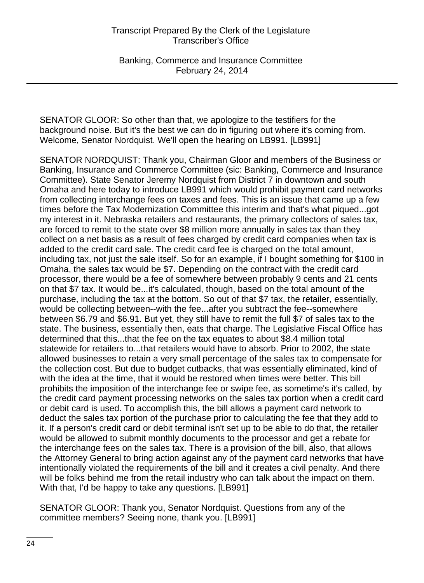Banking, Commerce and Insurance Committee February 24, 2014

SENATOR GLOOR: So other than that, we apologize to the testifiers for the background noise. But it's the best we can do in figuring out where it's coming from. Welcome, Senator Nordquist. We'll open the hearing on LB991. [LB991]

SENATOR NORDQUIST: Thank you, Chairman Gloor and members of the Business or Banking, Insurance and Commerce Committee (sic: Banking, Commerce and Insurance Committee). State Senator Jeremy Nordquist from District 7 in downtown and south Omaha and here today to introduce LB991 which would prohibit payment card networks from collecting interchange fees on taxes and fees. This is an issue that came up a few times before the Tax Modernization Committee this interim and that's what piqued...got my interest in it. Nebraska retailers and restaurants, the primary collectors of sales tax, are forced to remit to the state over \$8 million more annually in sales tax than they collect on a net basis as a result of fees charged by credit card companies when tax is added to the credit card sale. The credit card fee is charged on the total amount, including tax, not just the sale itself. So for an example, if I bought something for \$100 in Omaha, the sales tax would be \$7. Depending on the contract with the credit card processor, there would be a fee of somewhere between probably 9 cents and 21 cents on that \$7 tax. It would be...it's calculated, though, based on the total amount of the purchase, including the tax at the bottom. So out of that \$7 tax, the retailer, essentially, would be collecting between--with the fee...after you subtract the fee--somewhere between \$6.79 and \$6.91. But yet, they still have to remit the full \$7 of sales tax to the state. The business, essentially then, eats that charge. The Legislative Fiscal Office has determined that this...that the fee on the tax equates to about \$8.4 million total statewide for retailers to...that retailers would have to absorb. Prior to 2002, the state allowed businesses to retain a very small percentage of the sales tax to compensate for the collection cost. But due to budget cutbacks, that was essentially eliminated, kind of with the idea at the time, that it would be restored when times were better. This bill prohibits the imposition of the interchange fee or swipe fee, as sometime's it's called, by the credit card payment processing networks on the sales tax portion when a credit card or debit card is used. To accomplish this, the bill allows a payment card network to deduct the sales tax portion of the purchase prior to calculating the fee that they add to it. If a person's credit card or debit terminal isn't set up to be able to do that, the retailer would be allowed to submit monthly documents to the processor and get a rebate for the interchange fees on the sales tax. There is a provision of the bill, also, that allows the Attorney General to bring action against any of the payment card networks that have intentionally violated the requirements of the bill and it creates a civil penalty. And there will be folks behind me from the retail industry who can talk about the impact on them. With that, I'd be happy to take any questions. [LB991]

SENATOR GLOOR: Thank you, Senator Nordquist. Questions from any of the committee members? Seeing none, thank you. [LB991]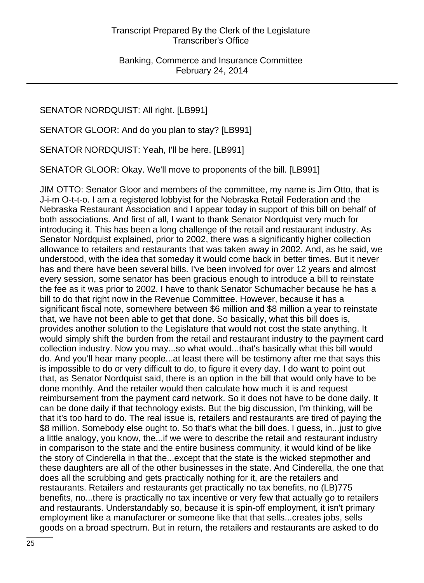SENATOR NORDQUIST: All right. [LB991]

SENATOR GLOOR: And do you plan to stay? [LB991]

SENATOR NORDQUIST: Yeah, I'll be here. [LB991]

SENATOR GLOOR: Okay. We'll move to proponents of the bill. [LB991]

JIM OTTO: Senator Gloor and members of the committee, my name is Jim Otto, that is J-i-m O-t-t-o. I am a registered lobbyist for the Nebraska Retail Federation and the Nebraska Restaurant Association and I appear today in support of this bill on behalf of both associations. And first of all, I want to thank Senator Nordquist very much for introducing it. This has been a long challenge of the retail and restaurant industry. As Senator Nordquist explained, prior to 2002, there was a significantly higher collection allowance to retailers and restaurants that was taken away in 2002. And, as he said, we understood, with the idea that someday it would come back in better times. But it never has and there have been several bills. I've been involved for over 12 years and almost every session, some senator has been gracious enough to introduce a bill to reinstate the fee as it was prior to 2002. I have to thank Senator Schumacher because he has a bill to do that right now in the Revenue Committee. However, because it has a significant fiscal note, somewhere between \$6 million and \$8 million a year to reinstate that, we have not been able to get that done. So basically, what this bill does is, provides another solution to the Legislature that would not cost the state anything. It would simply shift the burden from the retail and restaurant industry to the payment card collection industry. Now you may...so what would...that's basically what this bill would do. And you'll hear many people...at least there will be testimony after me that says this is impossible to do or very difficult to do, to figure it every day. I do want to point out that, as Senator Nordquist said, there is an option in the bill that would only have to be done monthly. And the retailer would then calculate how much it is and request reimbursement from the payment card network. So it does not have to be done daily. It can be done daily if that technology exists. But the big discussion, I'm thinking, will be that it's too hard to do. The real issue is, retailers and restaurants are tired of paying the \$8 million. Somebody else ought to. So that's what the bill does. I guess, in...just to give a little analogy, you know, the...if we were to describe the retail and restaurant industry in comparison to the state and the entire business community, it would kind of be like the story of Cinderella in that the...except that the state is the wicked stepmother and these daughters are all of the other businesses in the state. And Cinderella, the one that does all the scrubbing and gets practically nothing for it, are the retailers and restaurants. Retailers and restaurants get practically no tax benefits, no (LB)775 benefits, no...there is practically no tax incentive or very few that actually go to retailers and restaurants. Understandably so, because it is spin-off employment, it isn't primary employment like a manufacturer or someone like that that sells...creates jobs, sells goods on a broad spectrum. But in return, the retailers and restaurants are asked to do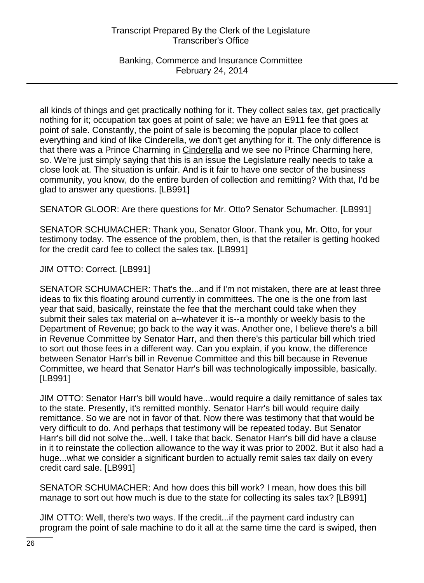Banking, Commerce and Insurance Committee February 24, 2014

all kinds of things and get practically nothing for it. They collect sales tax, get practically nothing for it; occupation tax goes at point of sale; we have an E911 fee that goes at point of sale. Constantly, the point of sale is becoming the popular place to collect everything and kind of like Cinderella, we don't get anything for it. The only difference is that there was a Prince Charming in Cinderella and we see no Prince Charming here, so. We're just simply saying that this is an issue the Legislature really needs to take a close look at. The situation is unfair. And is it fair to have one sector of the business community, you know, do the entire burden of collection and remitting? With that, I'd be glad to answer any questions. [LB991]

SENATOR GLOOR: Are there questions for Mr. Otto? Senator Schumacher. [LB991]

SENATOR SCHUMACHER: Thank you, Senator Gloor. Thank you, Mr. Otto, for your testimony today. The essence of the problem, then, is that the retailer is getting hooked for the credit card fee to collect the sales tax. [LB991]

JIM OTTO: Correct. [LB991]

SENATOR SCHUMACHER: That's the...and if I'm not mistaken, there are at least three ideas to fix this floating around currently in committees. The one is the one from last year that said, basically, reinstate the fee that the merchant could take when they submit their sales tax material on a--whatever it is--a monthly or weekly basis to the Department of Revenue; go back to the way it was. Another one, I believe there's a bill in Revenue Committee by Senator Harr, and then there's this particular bill which tried to sort out those fees in a different way. Can you explain, if you know, the difference between Senator Harr's bill in Revenue Committee and this bill because in Revenue Committee, we heard that Senator Harr's bill was technologically impossible, basically. [LB991]

JIM OTTO: Senator Harr's bill would have...would require a daily remittance of sales tax to the state. Presently, it's remitted monthly. Senator Harr's bill would require daily remittance. So we are not in favor of that. Now there was testimony that that would be very difficult to do. And perhaps that testimony will be repeated today. But Senator Harr's bill did not solve the...well, I take that back. Senator Harr's bill did have a clause in it to reinstate the collection allowance to the way it was prior to 2002. But it also had a huge...what we consider a significant burden to actually remit sales tax daily on every credit card sale. [LB991]

SENATOR SCHUMACHER: And how does this bill work? I mean, how does this bill manage to sort out how much is due to the state for collecting its sales tax? [LB991]

JIM OTTO: Well, there's two ways. If the credit...if the payment card industry can program the point of sale machine to do it all at the same time the card is swiped, then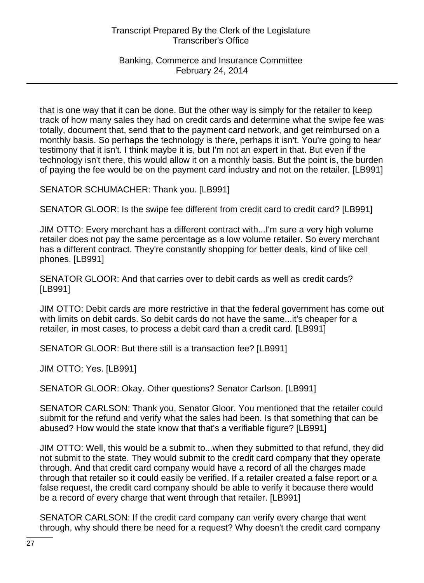Banking, Commerce and Insurance Committee February 24, 2014

that is one way that it can be done. But the other way is simply for the retailer to keep track of how many sales they had on credit cards and determine what the swipe fee was totally, document that, send that to the payment card network, and get reimbursed on a monthly basis. So perhaps the technology is there, perhaps it isn't. You're going to hear testimony that it isn't. I think maybe it is, but I'm not an expert in that. But even if the technology isn't there, this would allow it on a monthly basis. But the point is, the burden of paying the fee would be on the payment card industry and not on the retailer. [LB991]

SENATOR SCHUMACHER: Thank you. [LB991]

SENATOR GLOOR: Is the swipe fee different from credit card to credit card? [LB991]

JIM OTTO: Every merchant has a different contract with...I'm sure a very high volume retailer does not pay the same percentage as a low volume retailer. So every merchant has a different contract. They're constantly shopping for better deals, kind of like cell phones. [LB991]

SENATOR GLOOR: And that carries over to debit cards as well as credit cards? [LB991]

JIM OTTO: Debit cards are more restrictive in that the federal government has come out with limits on debit cards. So debit cards do not have the same...it's cheaper for a retailer, in most cases, to process a debit card than a credit card. [LB991]

SENATOR GLOOR: But there still is a transaction fee? [LB991]

JIM OTTO: Yes. [LB991]

SENATOR GLOOR: Okay. Other questions? Senator Carlson. [LB991]

SENATOR CARLSON: Thank you, Senator Gloor. You mentioned that the retailer could submit for the refund and verify what the sales had been. Is that something that can be abused? How would the state know that that's a verifiable figure? [LB991]

JIM OTTO: Well, this would be a submit to...when they submitted to that refund, they did not submit to the state. They would submit to the credit card company that they operate through. And that credit card company would have a record of all the charges made through that retailer so it could easily be verified. If a retailer created a false report or a false request, the credit card company should be able to verify it because there would be a record of every charge that went through that retailer. [LB991]

SENATOR CARLSON: If the credit card company can verify every charge that went through, why should there be need for a request? Why doesn't the credit card company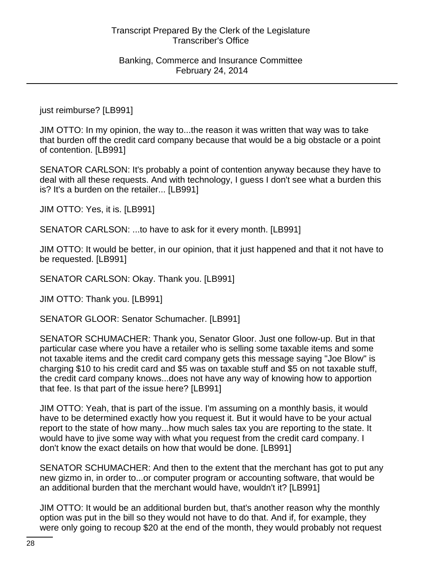just reimburse? [LB991]

JIM OTTO: In my opinion, the way to...the reason it was written that way was to take that burden off the credit card company because that would be a big obstacle or a point of contention. [LB991]

SENATOR CARLSON: It's probably a point of contention anyway because they have to deal with all these requests. And with technology, I guess I don't see what a burden this is? It's a burden on the retailer... [LB991]

JIM OTTO: Yes, it is. [LB991]

SENATOR CARLSON: ...to have to ask for it every month. [LB991]

JIM OTTO: It would be better, in our opinion, that it just happened and that it not have to be requested. [LB991]

SENATOR CARLSON: Okay. Thank you. [LB991]

JIM OTTO: Thank you. [LB991]

SENATOR GLOOR: Senator Schumacher. [LB991]

SENATOR SCHUMACHER: Thank you, Senator Gloor. Just one follow-up. But in that particular case where you have a retailer who is selling some taxable items and some not taxable items and the credit card company gets this message saying "Joe Blow" is charging \$10 to his credit card and \$5 was on taxable stuff and \$5 on not taxable stuff, the credit card company knows...does not have any way of knowing how to apportion that fee. Is that part of the issue here? [LB991]

JIM OTTO: Yeah, that is part of the issue. I'm assuming on a monthly basis, it would have to be determined exactly how you request it. But it would have to be your actual report to the state of how many...how much sales tax you are reporting to the state. It would have to jive some way with what you request from the credit card company. I don't know the exact details on how that would be done. [LB991]

SENATOR SCHUMACHER: And then to the extent that the merchant has got to put any new gizmo in, in order to...or computer program or accounting software, that would be an additional burden that the merchant would have, wouldn't it? [LB991]

JIM OTTO: It would be an additional burden but, that's another reason why the monthly option was put in the bill so they would not have to do that. And if, for example, they were only going to recoup \$20 at the end of the month, they would probably not request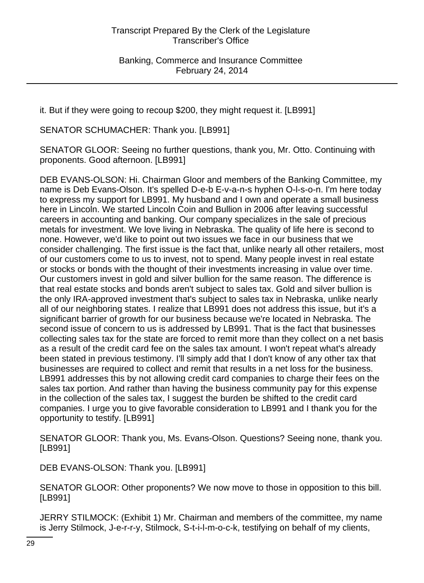it. But if they were going to recoup \$200, they might request it. [LB991]

SENATOR SCHUMACHER: Thank you. [LB991]

SENATOR GLOOR: Seeing no further questions, thank you, Mr. Otto. Continuing with proponents. Good afternoon. [LB991]

DEB EVANS-OLSON: Hi. Chairman Gloor and members of the Banking Committee, my name is Deb Evans-Olson. It's spelled D-e-b E-v-a-n-s hyphen O-l-s-o-n. I'm here today to express my support for LB991. My husband and I own and operate a small business here in Lincoln. We started Lincoln Coin and Bullion in 2006 after leaving successful careers in accounting and banking. Our company specializes in the sale of precious metals for investment. We love living in Nebraska. The quality of life here is second to none. However, we'd like to point out two issues we face in our business that we consider challenging. The first issue is the fact that, unlike nearly all other retailers, most of our customers come to us to invest, not to spend. Many people invest in real estate or stocks or bonds with the thought of their investments increasing in value over time. Our customers invest in gold and silver bullion for the same reason. The difference is that real estate stocks and bonds aren't subject to sales tax. Gold and silver bullion is the only IRA-approved investment that's subject to sales tax in Nebraska, unlike nearly all of our neighboring states. I realize that LB991 does not address this issue, but it's a significant barrier of growth for our business because we're located in Nebraska. The second issue of concern to us is addressed by LB991. That is the fact that businesses collecting sales tax for the state are forced to remit more than they collect on a net basis as a result of the credit card fee on the sales tax amount. I won't repeat what's already been stated in previous testimony. I'll simply add that I don't know of any other tax that businesses are required to collect and remit that results in a net loss for the business. LB991 addresses this by not allowing credit card companies to charge their fees on the sales tax portion. And rather than having the business community pay for this expense in the collection of the sales tax, I suggest the burden be shifted to the credit card companies. I urge you to give favorable consideration to LB991 and I thank you for the opportunity to testify. [LB991]

SENATOR GLOOR: Thank you, Ms. Evans-Olson. Questions? Seeing none, thank you. [LB991]

DEB EVANS-OLSON: Thank you. [LB991]

SENATOR GLOOR: Other proponents? We now move to those in opposition to this bill. [LB991]

JERRY STILMOCK: (Exhibit 1) Mr. Chairman and members of the committee, my name is Jerry Stilmock, J-e-r-r-y, Stilmock, S-t-i-l-m-o-c-k, testifying on behalf of my clients,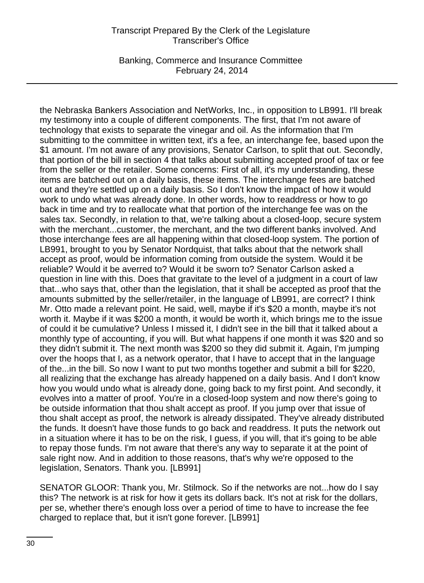Banking, Commerce and Insurance Committee February 24, 2014

the Nebraska Bankers Association and NetWorks, Inc., in opposition to LB991. I'll break my testimony into a couple of different components. The first, that I'm not aware of technology that exists to separate the vinegar and oil. As the information that I'm submitting to the committee in written text, it's a fee, an interchange fee, based upon the \$1 amount. I'm not aware of any provisions, Senator Carlson, to split that out. Secondly, that portion of the bill in section 4 that talks about submitting accepted proof of tax or fee from the seller or the retailer. Some concerns: First of all, it's my understanding, these items are batched out on a daily basis, these items. The interchange fees are batched out and they're settled up on a daily basis. So I don't know the impact of how it would work to undo what was already done. In other words, how to readdress or how to go back in time and try to reallocate what that portion of the interchange fee was on the sales tax. Secondly, in relation to that, we're talking about a closed-loop, secure system with the merchant...customer, the merchant, and the two different banks involved. And those interchange fees are all happening within that closed-loop system. The portion of LB991, brought to you by Senator Nordquist, that talks about that the network shall accept as proof, would be information coming from outside the system. Would it be reliable? Would it be averred to? Would it be sworn to? Senator Carlson asked a question in line with this. Does that gravitate to the level of a judgment in a court of law that...who says that, other than the legislation, that it shall be accepted as proof that the amounts submitted by the seller/retailer, in the language of LB991, are correct? I think Mr. Otto made a relevant point. He said, well, maybe if it's \$20 a month, maybe it's not worth it. Maybe if it was \$200 a month, it would be worth it, which brings me to the issue of could it be cumulative? Unless I missed it, I didn't see in the bill that it talked about a monthly type of accounting, if you will. But what happens if one month it was \$20 and so they didn't submit it. The next month was \$200 so they did submit it. Again, I'm jumping over the hoops that I, as a network operator, that I have to accept that in the language of the...in the bill. So now I want to put two months together and submit a bill for \$220, all realizing that the exchange has already happened on a daily basis. And I don't know how you would undo what is already done, going back to my first point. And secondly, it evolves into a matter of proof. You're in a closed-loop system and now there's going to be outside information that thou shalt accept as proof. If you jump over that issue of thou shalt accept as proof, the network is already dissipated. They've already distributed the funds. It doesn't have those funds to go back and readdress. It puts the network out in a situation where it has to be on the risk, I guess, if you will, that it's going to be able to repay those funds. I'm not aware that there's any way to separate it at the point of sale right now. And in addition to those reasons, that's why we're opposed to the legislation, Senators. Thank you. [LB991]

SENATOR GLOOR: Thank you, Mr. Stilmock. So if the networks are not...how do I say this? The network is at risk for how it gets its dollars back. It's not at risk for the dollars, per se, whether there's enough loss over a period of time to have to increase the fee charged to replace that, but it isn't gone forever. [LB991]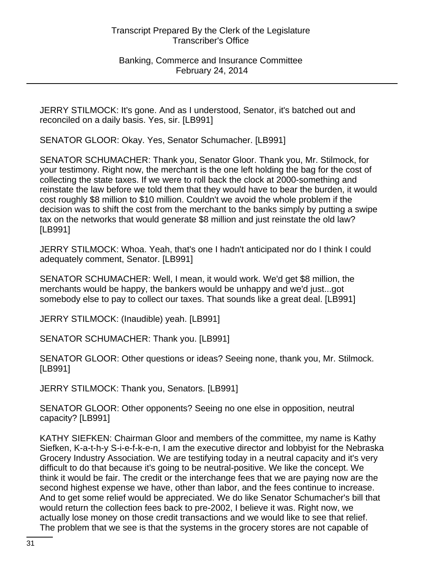JERRY STILMOCK: It's gone. And as I understood, Senator, it's batched out and reconciled on a daily basis. Yes, sir. [LB991]

SENATOR GLOOR: Okay. Yes, Senator Schumacher. [LB991]

SENATOR SCHUMACHER: Thank you, Senator Gloor. Thank you, Mr. Stilmock, for your testimony. Right now, the merchant is the one left holding the bag for the cost of collecting the state taxes. If we were to roll back the clock at 2000-something and reinstate the law before we told them that they would have to bear the burden, it would cost roughly \$8 million to \$10 million. Couldn't we avoid the whole problem if the decision was to shift the cost from the merchant to the banks simply by putting a swipe tax on the networks that would generate \$8 million and just reinstate the old law? [LB991]

JERRY STILMOCK: Whoa. Yeah, that's one I hadn't anticipated nor do I think I could adequately comment, Senator. [LB991]

SENATOR SCHUMACHER: Well, I mean, it would work. We'd get \$8 million, the merchants would be happy, the bankers would be unhappy and we'd just...got somebody else to pay to collect our taxes. That sounds like a great deal. [LB991]

JERRY STILMOCK: (Inaudible) yeah. [LB991]

SENATOR SCHUMACHER: Thank you. [LB991]

SENATOR GLOOR: Other questions or ideas? Seeing none, thank you, Mr. Stilmock. [LB991]

JERRY STILMOCK: Thank you, Senators. [LB991]

SENATOR GLOOR: Other opponents? Seeing no one else in opposition, neutral capacity? [LB991]

KATHY SIEFKEN: Chairman Gloor and members of the committee, my name is Kathy Siefken, K-a-t-h-y S-i-e-f-k-e-n, I am the executive director and lobbyist for the Nebraska Grocery Industry Association. We are testifying today in a neutral capacity and it's very difficult to do that because it's going to be neutral-positive. We like the concept. We think it would be fair. The credit or the interchange fees that we are paying now are the second highest expense we have, other than labor, and the fees continue to increase. And to get some relief would be appreciated. We do like Senator Schumacher's bill that would return the collection fees back to pre-2002, I believe it was. Right now, we actually lose money on those credit transactions and we would like to see that relief. The problem that we see is that the systems in the grocery stores are not capable of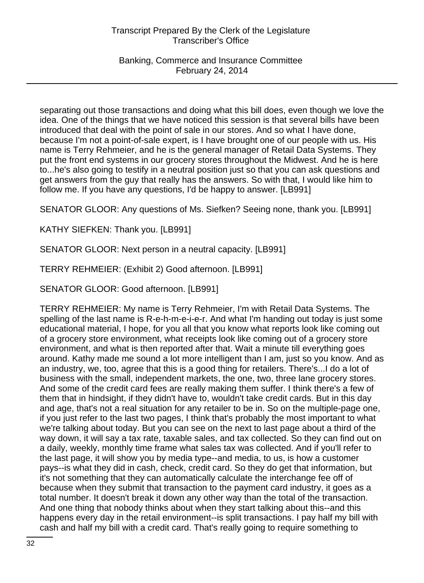Banking, Commerce and Insurance Committee February 24, 2014

separating out those transactions and doing what this bill does, even though we love the idea. One of the things that we have noticed this session is that several bills have been introduced that deal with the point of sale in our stores. And so what I have done, because I'm not a point-of-sale expert, is I have brought one of our people with us. His name is Terry Rehmeier, and he is the general manager of Retail Data Systems. They put the front end systems in our grocery stores throughout the Midwest. And he is here to...he's also going to testify in a neutral position just so that you can ask questions and get answers from the guy that really has the answers. So with that, I would like him to follow me. If you have any questions, I'd be happy to answer. [LB991]

SENATOR GLOOR: Any questions of Ms. Siefken? Seeing none, thank you. [LB991]

KATHY SIEFKEN: Thank you. [LB991]

SENATOR GLOOR: Next person in a neutral capacity. [LB991]

TERRY REHMEIER: (Exhibit 2) Good afternoon. [LB991]

SENATOR GLOOR: Good afternoon. [LB991]

TERRY REHMEIER: My name is Terry Rehmeier, I'm with Retail Data Systems. The spelling of the last name is R-e-h-m-e-i-e-r. And what I'm handing out today is just some educational material, I hope, for you all that you know what reports look like coming out of a grocery store environment, what receipts look like coming out of a grocery store environment, and what is then reported after that. Wait a minute till everything goes around. Kathy made me sound a lot more intelligent than I am, just so you know. And as an industry, we, too, agree that this is a good thing for retailers. There's...I do a lot of business with the small, independent markets, the one, two, three lane grocery stores. And some of the credit card fees are really making them suffer. I think there's a few of them that in hindsight, if they didn't have to, wouldn't take credit cards. But in this day and age, that's not a real situation for any retailer to be in. So on the multiple-page one, if you just refer to the last two pages, I think that's probably the most important to what we're talking about today. But you can see on the next to last page about a third of the way down, it will say a tax rate, taxable sales, and tax collected. So they can find out on a daily, weekly, monthly time frame what sales tax was collected. And if you'll refer to the last page, it will show you by media type--and media, to us, is how a customer pays--is what they did in cash, check, credit card. So they do get that information, but it's not something that they can automatically calculate the interchange fee off of because when they submit that transaction to the payment card industry, it goes as a total number. It doesn't break it down any other way than the total of the transaction. And one thing that nobody thinks about when they start talking about this--and this happens every day in the retail environment--is split transactions. I pay half my bill with cash and half my bill with a credit card. That's really going to require something to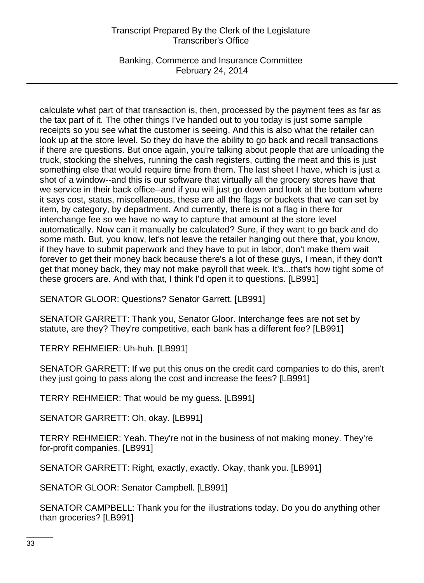Banking, Commerce and Insurance Committee February 24, 2014

calculate what part of that transaction is, then, processed by the payment fees as far as the tax part of it. The other things I've handed out to you today is just some sample receipts so you see what the customer is seeing. And this is also what the retailer can look up at the store level. So they do have the ability to go back and recall transactions if there are questions. But once again, you're talking about people that are unloading the truck, stocking the shelves, running the cash registers, cutting the meat and this is just something else that would require time from them. The last sheet I have, which is just a shot of a window--and this is our software that virtually all the grocery stores have that we service in their back office--and if you will just go down and look at the bottom where it says cost, status, miscellaneous, these are all the flags or buckets that we can set by item, by category, by department. And currently, there is not a flag in there for interchange fee so we have no way to capture that amount at the store level automatically. Now can it manually be calculated? Sure, if they want to go back and do some math. But, you know, let's not leave the retailer hanging out there that, you know, if they have to submit paperwork and they have to put in labor, don't make them wait forever to get their money back because there's a lot of these guys, I mean, if they don't get that money back, they may not make payroll that week. It's...that's how tight some of these grocers are. And with that, I think I'd open it to questions. [LB991]

SENATOR GLOOR: Questions? Senator Garrett. [LB991]

SENATOR GARRETT: Thank you, Senator Gloor. Interchange fees are not set by statute, are they? They're competitive, each bank has a different fee? [LB991]

TERRY REHMEIER: Uh-huh. [LB991]

SENATOR GARRETT: If we put this onus on the credit card companies to do this, aren't they just going to pass along the cost and increase the fees? [LB991]

TERRY REHMEIER: That would be my guess. [LB991]

SENATOR GARRETT: Oh, okay. [LB991]

TERRY REHMEIER: Yeah. They're not in the business of not making money. They're for-profit companies. [LB991]

SENATOR GARRETT: Right, exactly, exactly. Okay, thank you. [LB991]

SENATOR GLOOR: Senator Campbell. [LB991]

SENATOR CAMPBELL: Thank you for the illustrations today. Do you do anything other than groceries? [LB991]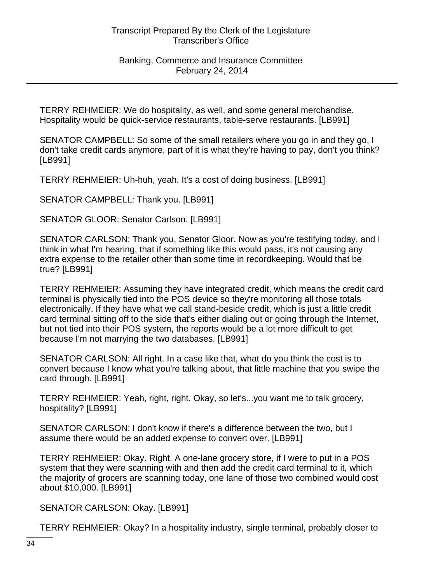Banking, Commerce and Insurance Committee February 24, 2014

TERRY REHMEIER: We do hospitality, as well, and some general merchandise. Hospitality would be quick-service restaurants, table-serve restaurants. [LB991]

SENATOR CAMPBELL: So some of the small retailers where you go in and they go, I don't take credit cards anymore, part of it is what they're having to pay, don't you think? [LB991]

TERRY REHMEIER: Uh-huh, yeah. It's a cost of doing business. [LB991]

SENATOR CAMPBELL: Thank you. [LB991]

SENATOR GLOOR: Senator Carlson. [LB991]

SENATOR CARLSON: Thank you, Senator Gloor. Now as you're testifying today, and I think in what I'm hearing, that if something like this would pass, it's not causing any extra expense to the retailer other than some time in recordkeeping. Would that be true? [LB991]

TERRY REHMEIER: Assuming they have integrated credit, which means the credit card terminal is physically tied into the POS device so they're monitoring all those totals electronically. If they have what we call stand-beside credit, which is just a little credit card terminal sitting off to the side that's either dialing out or going through the Internet, but not tied into their POS system, the reports would be a lot more difficult to get because I'm not marrying the two databases. [LB991]

SENATOR CARLSON: All right. In a case like that, what do you think the cost is to convert because I know what you're talking about, that little machine that you swipe the card through. [LB991]

TERRY REHMEIER: Yeah, right, right. Okay, so let's...you want me to talk grocery, hospitality? [LB991]

SENATOR CARLSON: I don't know if there's a difference between the two, but I assume there would be an added expense to convert over. [LB991]

TERRY REHMEIER: Okay. Right. A one-lane grocery store, if I were to put in a POS system that they were scanning with and then add the credit card terminal to it, which the majority of grocers are scanning today, one lane of those two combined would cost about \$10,000. [LB991]

SENATOR CARLSON: Okay. [LB991]

TERRY REHMEIER: Okay? In a hospitality industry, single terminal, probably closer to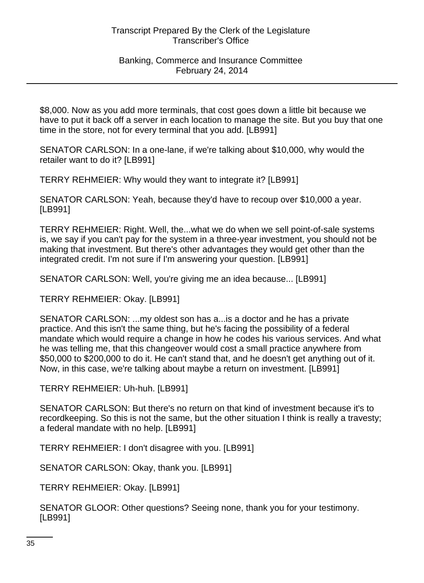### Banking, Commerce and Insurance Committee February 24, 2014

\$8,000. Now as you add more terminals, that cost goes down a little bit because we have to put it back off a server in each location to manage the site. But you buy that one time in the store, not for every terminal that you add. [LB991]

SENATOR CARLSON: In a one-lane, if we're talking about \$10,000, why would the retailer want to do it? [LB991]

TERRY REHMEIER: Why would they want to integrate it? [LB991]

SENATOR CARLSON: Yeah, because they'd have to recoup over \$10,000 a year. [LB991]

TERRY REHMEIER: Right. Well, the...what we do when we sell point-of-sale systems is, we say if you can't pay for the system in a three-year investment, you should not be making that investment. But there's other advantages they would get other than the integrated credit. I'm not sure if I'm answering your question. [LB991]

SENATOR CARLSON: Well, you're giving me an idea because... [LB991]

TERRY REHMEIER: Okay. [LB991]

SENATOR CARLSON: ...my oldest son has a...is a doctor and he has a private practice. And this isn't the same thing, but he's facing the possibility of a federal mandate which would require a change in how he codes his various services. And what he was telling me, that this changeover would cost a small practice anywhere from \$50,000 to \$200,000 to do it. He can't stand that, and he doesn't get anything out of it. Now, in this case, we're talking about maybe a return on investment. [LB991]

TERRY REHMEIER: Uh-huh. [LB991]

SENATOR CARLSON: But there's no return on that kind of investment because it's to recordkeeping. So this is not the same, but the other situation I think is really a travesty; a federal mandate with no help. [LB991]

TERRY REHMEIER: I don't disagree with you. [LB991]

SENATOR CARLSON: Okay, thank you. [LB991]

TERRY REHMEIER: Okay. [LB991]

SENATOR GLOOR: Other questions? Seeing none, thank you for your testimony. [LB991]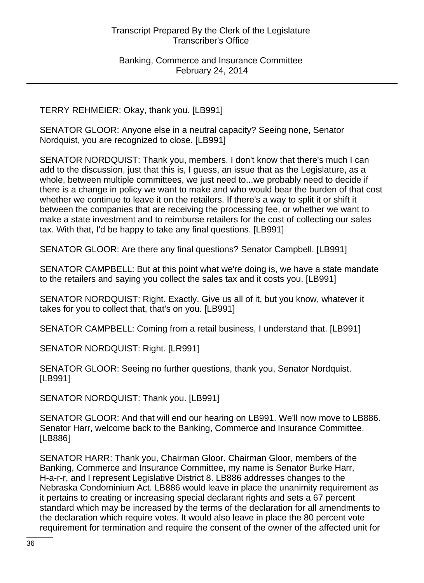TERRY REHMEIER: Okay, thank you. [LB991]

SENATOR GLOOR: Anyone else in a neutral capacity? Seeing none, Senator Nordquist, you are recognized to close. [LB991]

SENATOR NORDQUIST: Thank you, members. I don't know that there's much I can add to the discussion, just that this is, I guess, an issue that as the Legislature, as a whole, between multiple committees, we just need to...we probably need to decide if there is a change in policy we want to make and who would bear the burden of that cost whether we continue to leave it on the retailers. If there's a way to split it or shift it between the companies that are receiving the processing fee, or whether we want to make a state investment and to reimburse retailers for the cost of collecting our sales tax. With that, I'd be happy to take any final questions. [LB991]

SENATOR GLOOR: Are there any final questions? Senator Campbell. [LB991]

SENATOR CAMPBELL: But at this point what we're doing is, we have a state mandate to the retailers and saying you collect the sales tax and it costs you. [LB991]

SENATOR NORDQUIST: Right. Exactly. Give us all of it, but you know, whatever it takes for you to collect that, that's on you. [LB991]

SENATOR CAMPBELL: Coming from a retail business, I understand that. [LB991]

SENATOR NORDQUIST: Right. [LR991]

SENATOR GLOOR: Seeing no further questions, thank you, Senator Nordquist. [LB991]

SENATOR NORDQUIST: Thank you. [LB991]

SENATOR GLOOR: And that will end our hearing on LB991. We'll now move to LB886. Senator Harr, welcome back to the Banking, Commerce and Insurance Committee. [LB886]

SENATOR HARR: Thank you, Chairman Gloor. Chairman Gloor, members of the Banking, Commerce and Insurance Committee, my name is Senator Burke Harr, H-a-r-r, and I represent Legislative District 8. LB886 addresses changes to the Nebraska Condominium Act. LB886 would leave in place the unanimity requirement as it pertains to creating or increasing special declarant rights and sets a 67 percent standard which may be increased by the terms of the declaration for all amendments to the declaration which require votes. It would also leave in place the 80 percent vote requirement for termination and require the consent of the owner of the affected unit for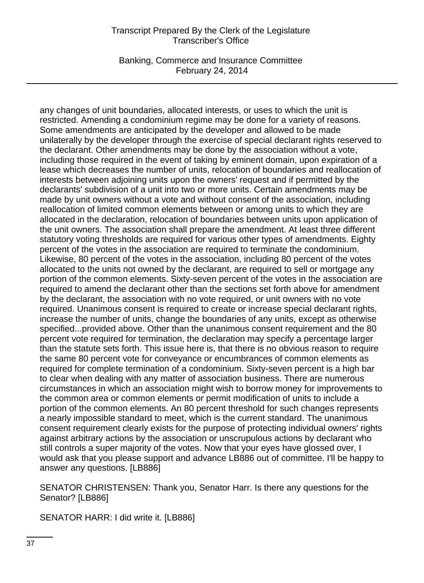Banking, Commerce and Insurance Committee February 24, 2014

any changes of unit boundaries, allocated interests, or uses to which the unit is restricted. Amending a condominium regime may be done for a variety of reasons. Some amendments are anticipated by the developer and allowed to be made unilaterally by the developer through the exercise of special declarant rights reserved to the declarant. Other amendments may be done by the association without a vote, including those required in the event of taking by eminent domain, upon expiration of a lease which decreases the number of units, relocation of boundaries and reallocation of interests between adjoining units upon the owners' request and if permitted by the declarants' subdivision of a unit into two or more units. Certain amendments may be made by unit owners without a vote and without consent of the association, including reallocation of limited common elements between or among units to which they are allocated in the declaration, relocation of boundaries between units upon application of the unit owners. The association shall prepare the amendment. At least three different statutory voting thresholds are required for various other types of amendments. Eighty percent of the votes in the association are required to terminate the condominium. Likewise, 80 percent of the votes in the association, including 80 percent of the votes allocated to the units not owned by the declarant, are required to sell or mortgage any portion of the common elements. Sixty-seven percent of the votes in the association are required to amend the declarant other than the sections set forth above for amendment by the declarant, the association with no vote required, or unit owners with no vote required. Unanimous consent is required to create or increase special declarant rights, increase the number of units, change the boundaries of any units, except as otherwise specified...provided above. Other than the unanimous consent requirement and the 80 percent vote required for termination, the declaration may specify a percentage larger than the statute sets forth. This issue here is, that there is no obvious reason to require the same 80 percent vote for conveyance or encumbrances of common elements as required for complete termination of a condominium. Sixty-seven percent is a high bar to clear when dealing with any matter of association business. There are numerous circumstances in which an association might wish to borrow money for improvements to the common area or common elements or permit modification of units to include a portion of the common elements. An 80 percent threshold for such changes represents a nearly impossible standard to meet, which is the current standard. The unanimous consent requirement clearly exists for the purpose of protecting individual owners' rights against arbitrary actions by the association or unscrupulous actions by declarant who still controls a super majority of the votes. Now that your eyes have glossed over, I would ask that you please support and advance LB886 out of committee. I'll be happy to answer any questions. [LB886]

SENATOR CHRISTENSEN: Thank you, Senator Harr. Is there any questions for the Senator? [LB886]

SENATOR HARR: I did write it. [LB886]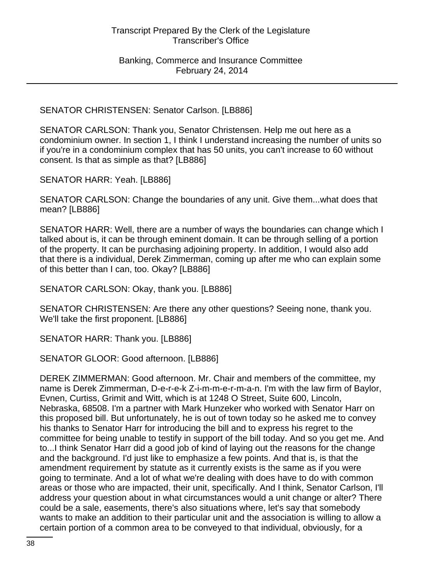SENATOR CHRISTENSEN: Senator Carlson. [LB886]

SENATOR CARLSON: Thank you, Senator Christensen. Help me out here as a condominium owner. In section 1, I think I understand increasing the number of units so if you're in a condominium complex that has 50 units, you can't increase to 60 without consent. Is that as simple as that? [LB886]

SENATOR HARR: Yeah. [LB886]

SENATOR CARLSON: Change the boundaries of any unit. Give them...what does that mean? [LB886]

SENATOR HARR: Well, there are a number of ways the boundaries can change which I talked about is, it can be through eminent domain. It can be through selling of a portion of the property. It can be purchasing adjoining property. In addition, I would also add that there is a individual, Derek Zimmerman, coming up after me who can explain some of this better than I can, too. Okay? [LB886]

SENATOR CARLSON: Okay, thank you. [LB886]

SENATOR CHRISTENSEN: Are there any other questions? Seeing none, thank you. We'll take the first proponent. [LB886]

SENATOR HARR: Thank you. [LB886]

SENATOR GLOOR: Good afternoon. [LB886]

DEREK ZIMMERMAN: Good afternoon. Mr. Chair and members of the committee, my name is Derek Zimmerman, D-e-r-e-k Z-i-m-m-e-r-m-a-n. I'm with the law firm of Baylor, Evnen, Curtiss, Grimit and Witt, which is at 1248 O Street, Suite 600, Lincoln, Nebraska, 68508. I'm a partner with Mark Hunzeker who worked with Senator Harr on this proposed bill. But unfortunately, he is out of town today so he asked me to convey his thanks to Senator Harr for introducing the bill and to express his regret to the committee for being unable to testify in support of the bill today. And so you get me. And to...I think Senator Harr did a good job of kind of laying out the reasons for the change and the background. I'd just like to emphasize a few points. And that is, is that the amendment requirement by statute as it currently exists is the same as if you were going to terminate. And a lot of what we're dealing with does have to do with common areas or those who are impacted, their unit, specifically. And I think, Senator Carlson, I'll address your question about in what circumstances would a unit change or alter? There could be a sale, easements, there's also situations where, let's say that somebody wants to make an addition to their particular unit and the association is willing to allow a certain portion of a common area to be conveyed to that individual, obviously, for a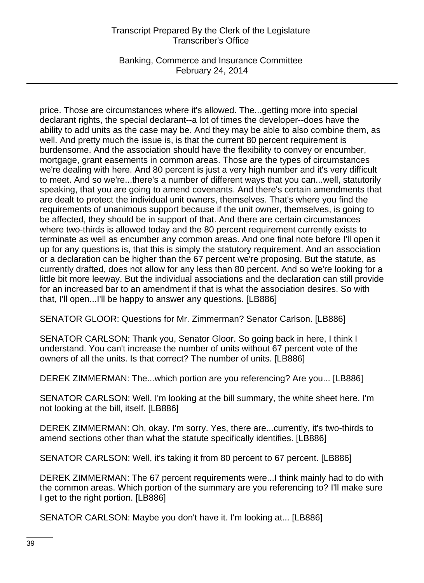Banking, Commerce and Insurance Committee February 24, 2014

price. Those are circumstances where it's allowed. The...getting more into special declarant rights, the special declarant--a lot of times the developer--does have the ability to add units as the case may be. And they may be able to also combine them, as well. And pretty much the issue is, is that the current 80 percent requirement is burdensome. And the association should have the flexibility to convey or encumber, mortgage, grant easements in common areas. Those are the types of circumstances we're dealing with here. And 80 percent is just a very high number and it's very difficult to meet. And so we're...there's a number of different ways that you can...well, statutorily speaking, that you are going to amend covenants. And there's certain amendments that are dealt to protect the individual unit owners, themselves. That's where you find the requirements of unanimous support because if the unit owner, themselves, is going to be affected, they should be in support of that. And there are certain circumstances where two-thirds is allowed today and the 80 percent requirement currently exists to terminate as well as encumber any common areas. And one final note before I'll open it up for any questions is, that this is simply the statutory requirement. And an association or a declaration can be higher than the 67 percent we're proposing. But the statute, as currently drafted, does not allow for any less than 80 percent. And so we're looking for a little bit more leeway. But the individual associations and the declaration can still provide for an increased bar to an amendment if that is what the association desires. So with that, I'll open...I'll be happy to answer any questions. [LB886]

SENATOR GLOOR: Questions for Mr. Zimmerman? Senator Carlson. [LB886]

SENATOR CARLSON: Thank you, Senator Gloor. So going back in here, I think I understand. You can't increase the number of units without 67 percent vote of the owners of all the units. Is that correct? The number of units. [LB886]

DEREK ZIMMERMAN: The...which portion are you referencing? Are you... [LB886]

SENATOR CARLSON: Well, I'm looking at the bill summary, the white sheet here. I'm not looking at the bill, itself. [LB886]

DEREK ZIMMERMAN: Oh, okay. I'm sorry. Yes, there are...currently, it's two-thirds to amend sections other than what the statute specifically identifies. [LB886]

SENATOR CARLSON: Well, it's taking it from 80 percent to 67 percent. [LB886]

DEREK ZIMMERMAN: The 67 percent requirements were...I think mainly had to do with the common areas. Which portion of the summary are you referencing to? I'll make sure I get to the right portion. [LB886]

SENATOR CARLSON: Maybe you don't have it. I'm looking at... [LB886]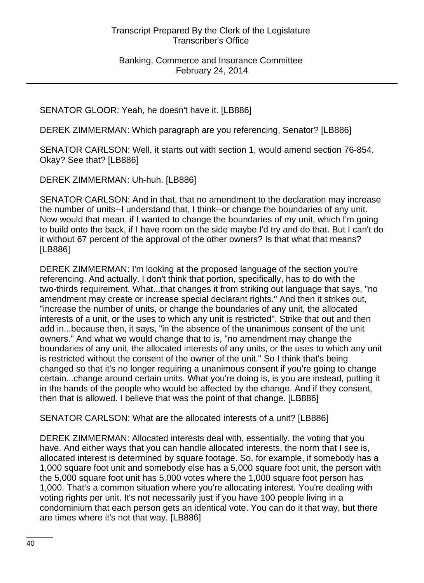SENATOR GLOOR: Yeah, he doesn't have it. [LB886]

DEREK ZIMMERMAN: Which paragraph are you referencing, Senator? [LB886]

SENATOR CARLSON: Well, it starts out with section 1, would amend section 76-854. Okay? See that? [LB886]

DEREK ZIMMERMAN: Uh-huh. [LB886]

SENATOR CARLSON: And in that, that no amendment to the declaration may increase the number of units--I understand that, I think--or change the boundaries of any unit. Now would that mean, if I wanted to change the boundaries of my unit, which I'm going to build onto the back, if I have room on the side maybe I'd try and do that. But I can't do it without 67 percent of the approval of the other owners? Is that what that means? [LB886]

DEREK ZIMMERMAN: I'm looking at the proposed language of the section you're referencing. And actually, I don't think that portion, specifically, has to do with the two-thirds requirement. What...that changes it from striking out language that says, "no amendment may create or increase special declarant rights." And then it strikes out, "increase the number of units, or change the boundaries of any unit, the allocated interests of a unit, or the uses to which any unit is restricted". Strike that out and then add in...because then, it says, "in the absence of the unanimous consent of the unit owners." And what we would change that to is, "no amendment may change the boundaries of any unit, the allocated interests of any units, or the uses to which any unit is restricted without the consent of the owner of the unit." So I think that's being changed so that it's no longer requiring a unanimous consent if you're going to change certain...change around certain units. What you're doing is, is you are instead, putting it in the hands of the people who would be affected by the change. And if they consent, then that is allowed. I believe that was the point of that change. [LB886]

SENATOR CARLSON: What are the allocated interests of a unit? [LB886]

DEREK ZIMMERMAN: Allocated interests deal with, essentially, the voting that you have. And either ways that you can handle allocated interests, the norm that I see is, allocated interest is determined by square footage. So, for example, if somebody has a 1,000 square foot unit and somebody else has a 5,000 square foot unit, the person with the 5,000 square foot unit has 5,000 votes where the 1,000 square foot person has 1,000. That's a common situation where you're allocating interest. You're dealing with voting rights per unit. It's not necessarily just if you have 100 people living in a condominium that each person gets an identical vote. You can do it that way, but there are times where it's not that way. [LB886]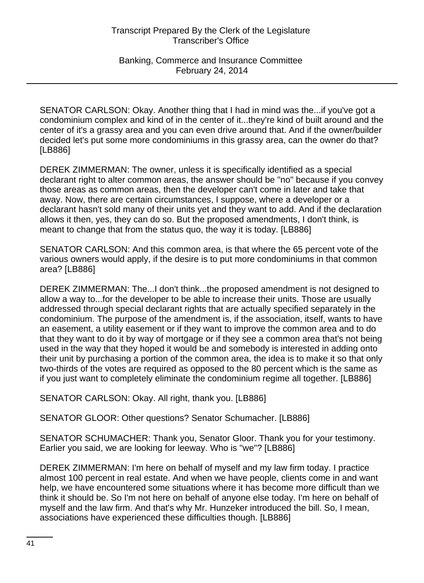SENATOR CARLSON: Okay. Another thing that I had in mind was the...if you've got a condominium complex and kind of in the center of it...they're kind of built around and the center of it's a grassy area and you can even drive around that. And if the owner/builder decided let's put some more condominiums in this grassy area, can the owner do that? [LB886]

DEREK ZIMMERMAN: The owner, unless it is specifically identified as a special declarant right to alter common areas, the answer should be "no" because if you convey those areas as common areas, then the developer can't come in later and take that away. Now, there are certain circumstances, I suppose, where a developer or a declarant hasn't sold many of their units yet and they want to add. And if the declaration allows it then, yes, they can do so. But the proposed amendments, I don't think, is meant to change that from the status quo, the way it is today. [LB886]

SENATOR CARLSON: And this common area, is that where the 65 percent vote of the various owners would apply, if the desire is to put more condominiums in that common area? [LB886]

DEREK ZIMMERMAN: The...I don't think...the proposed amendment is not designed to allow a way to...for the developer to be able to increase their units. Those are usually addressed through special declarant rights that are actually specified separately in the condominium. The purpose of the amendment is, if the association, itself, wants to have an easement, a utility easement or if they want to improve the common area and to do that they want to do it by way of mortgage or if they see a common area that's not being used in the way that they hoped it would be and somebody is interested in adding onto their unit by purchasing a portion of the common area, the idea is to make it so that only two-thirds of the votes are required as opposed to the 80 percent which is the same as if you just want to completely eliminate the condominium regime all together. [LB886]

SENATOR CARLSON: Okay. All right, thank you. [LB886]

SENATOR GLOOR: Other questions? Senator Schumacher. [LB886]

SENATOR SCHUMACHER: Thank you, Senator Gloor. Thank you for your testimony. Earlier you said, we are looking for leeway. Who is "we"? [LB886]

DEREK ZIMMERMAN: I'm here on behalf of myself and my law firm today. I practice almost 100 percent in real estate. And when we have people, clients come in and want help, we have encountered some situations where it has become more difficult than we think it should be. So I'm not here on behalf of anyone else today. I'm here on behalf of myself and the law firm. And that's why Mr. Hunzeker introduced the bill. So, I mean, associations have experienced these difficulties though. [LB886]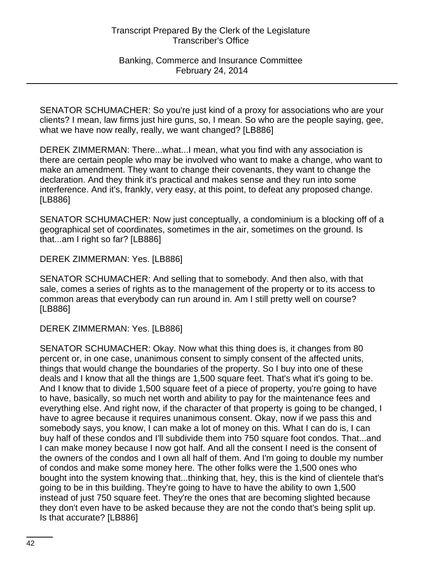Banking, Commerce and Insurance Committee February 24, 2014

SENATOR SCHUMACHER: So you're just kind of a proxy for associations who are your clients? I mean, law firms just hire guns, so, I mean. So who are the people saying, gee, what we have now really, really, we want changed? [LB886]

DEREK ZIMMERMAN: There...what...I mean, what you find with any association is there are certain people who may be involved who want to make a change, who want to make an amendment. They want to change their covenants, they want to change the declaration. And they think it's practical and makes sense and they run into some interference. And it's, frankly, very easy, at this point, to defeat any proposed change. [LB886]

SENATOR SCHUMACHER: Now just conceptually, a condominium is a blocking off of a geographical set of coordinates, sometimes in the air, sometimes on the ground. Is that...am I right so far? [LB886]

DEREK ZIMMERMAN: Yes. [LB886]

SENATOR SCHUMACHER: And selling that to somebody. And then also, with that sale, comes a series of rights as to the management of the property or to its access to common areas that everybody can run around in. Am I still pretty well on course? [LB886]

DEREK ZIMMERMAN: Yes. [LB886]

SENATOR SCHUMACHER: Okay. Now what this thing does is, it changes from 80 percent or, in one case, unanimous consent to simply consent of the affected units, things that would change the boundaries of the property. So I buy into one of these deals and I know that all the things are 1,500 square feet. That's what it's going to be. And I know that to divide 1,500 square feet of a piece of property, you're going to have to have, basically, so much net worth and ability to pay for the maintenance fees and everything else. And right now, if the character of that property is going to be changed, I have to agree because it requires unanimous consent. Okay, now if we pass this and somebody says, you know, I can make a lot of money on this. What I can do is, I can buy half of these condos and I'll subdivide them into 750 square foot condos. That...and I can make money because I now got half. And all the consent I need is the consent of the owners of the condos and I own all half of them. And I'm going to double my number of condos and make some money here. The other folks were the 1,500 ones who bought into the system knowing that...thinking that, hey, this is the kind of clientele that's going to be in this building. They're going to have to have the ability to own 1,500 instead of just 750 square feet. They're the ones that are becoming slighted because they don't even have to be asked because they are not the condo that's being split up. Is that accurate? [LB886]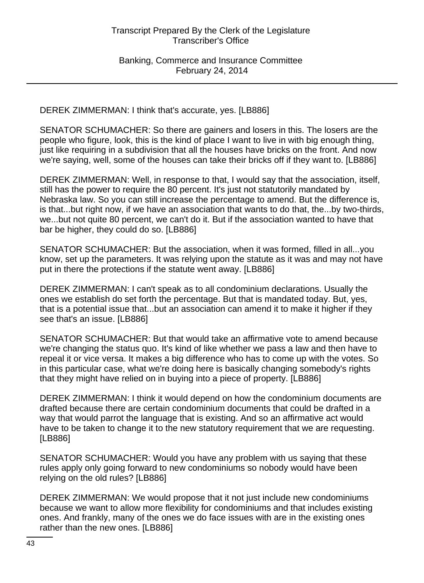DEREK ZIMMERMAN: I think that's accurate, yes. [LB886]

SENATOR SCHUMACHER: So there are gainers and losers in this. The losers are the people who figure, look, this is the kind of place I want to live in with big enough thing, just like requiring in a subdivision that all the houses have bricks on the front. And now we're saying, well, some of the houses can take their bricks off if they want to. [LB886]

DEREK ZIMMERMAN: Well, in response to that, I would say that the association, itself, still has the power to require the 80 percent. It's just not statutorily mandated by Nebraska law. So you can still increase the percentage to amend. But the difference is, is that...but right now, if we have an association that wants to do that, the...by two-thirds, we...but not quite 80 percent, we can't do it. But if the association wanted to have that bar be higher, they could do so. [LB886]

SENATOR SCHUMACHER: But the association, when it was formed, filled in all...you know, set up the parameters. It was relying upon the statute as it was and may not have put in there the protections if the statute went away. [LB886]

DEREK ZIMMERMAN: I can't speak as to all condominium declarations. Usually the ones we establish do set forth the percentage. But that is mandated today. But, yes, that is a potential issue that...but an association can amend it to make it higher if they see that's an issue. [LB886]

SENATOR SCHUMACHER: But that would take an affirmative vote to amend because we're changing the status quo. It's kind of like whether we pass a law and then have to repeal it or vice versa. It makes a big difference who has to come up with the votes. So in this particular case, what we're doing here is basically changing somebody's rights that they might have relied on in buying into a piece of property. [LB886]

DEREK ZIMMERMAN: I think it would depend on how the condominium documents are drafted because there are certain condominium documents that could be drafted in a way that would parrot the language that is existing. And so an affirmative act would have to be taken to change it to the new statutory requirement that we are requesting. [LB886]

SENATOR SCHUMACHER: Would you have any problem with us saying that these rules apply only going forward to new condominiums so nobody would have been relying on the old rules? [LB886]

DEREK ZIMMERMAN: We would propose that it not just include new condominiums because we want to allow more flexibility for condominiums and that includes existing ones. And frankly, many of the ones we do face issues with are in the existing ones rather than the new ones. [LB886]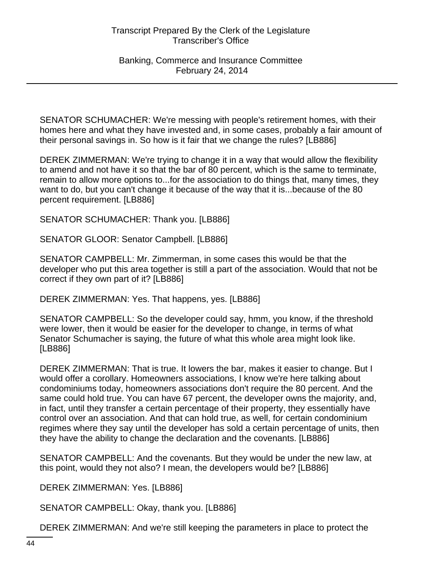SENATOR SCHUMACHER: We're messing with people's retirement homes, with their homes here and what they have invested and, in some cases, probably a fair amount of their personal savings in. So how is it fair that we change the rules? [LB886]

DEREK ZIMMERMAN: We're trying to change it in a way that would allow the flexibility to amend and not have it so that the bar of 80 percent, which is the same to terminate, remain to allow more options to...for the association to do things that, many times, they want to do, but you can't change it because of the way that it is...because of the 80 percent requirement. [LB886]

SENATOR SCHUMACHER: Thank you. [LB886]

SENATOR GLOOR: Senator Campbell. [LB886]

SENATOR CAMPBELL: Mr. Zimmerman, in some cases this would be that the developer who put this area together is still a part of the association. Would that not be correct if they own part of it? [LB886]

DEREK ZIMMERMAN: Yes. That happens, yes. [LB886]

SENATOR CAMPBELL: So the developer could say, hmm, you know, if the threshold were lower, then it would be easier for the developer to change, in terms of what Senator Schumacher is saying, the future of what this whole area might look like. [LB886]

DEREK ZIMMERMAN: That is true. It lowers the bar, makes it easier to change. But I would offer a corollary. Homeowners associations, I know we're here talking about condominiums today, homeowners associations don't require the 80 percent. And the same could hold true. You can have 67 percent, the developer owns the majority, and, in fact, until they transfer a certain percentage of their property, they essentially have control over an association. And that can hold true, as well, for certain condominium regimes where they say until the developer has sold a certain percentage of units, then they have the ability to change the declaration and the covenants. [LB886]

SENATOR CAMPBELL: And the covenants. But they would be under the new law, at this point, would they not also? I mean, the developers would be? [LB886]

DEREK ZIMMERMAN: Yes. [LB886]

SENATOR CAMPBELL: Okay, thank you. [LB886]

DEREK ZIMMERMAN: And we're still keeping the parameters in place to protect the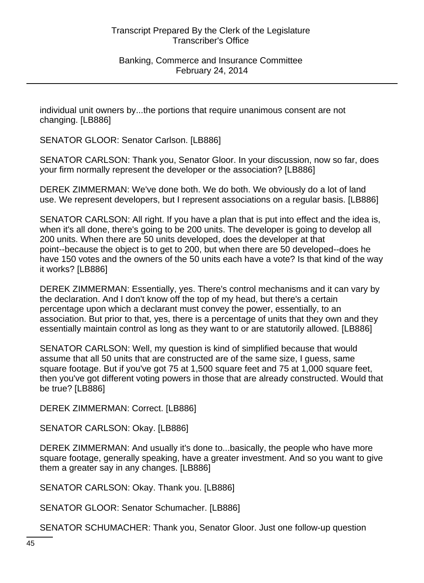individual unit owners by...the portions that require unanimous consent are not changing. [LB886]

SENATOR GLOOR: Senator Carlson. [LB886]

SENATOR CARLSON: Thank you, Senator Gloor. In your discussion, now so far, does your firm normally represent the developer or the association? [LB886]

DEREK ZIMMERMAN: We've done both. We do both. We obviously do a lot of land use. We represent developers, but I represent associations on a regular basis. [LB886]

SENATOR CARLSON: All right. If you have a plan that is put into effect and the idea is, when it's all done, there's going to be 200 units. The developer is going to develop all 200 units. When there are 50 units developed, does the developer at that point--because the object is to get to 200, but when there are 50 developed--does he have 150 votes and the owners of the 50 units each have a vote? Is that kind of the way it works? [LB886]

DEREK ZIMMERMAN: Essentially, yes. There's control mechanisms and it can vary by the declaration. And I don't know off the top of my head, but there's a certain percentage upon which a declarant must convey the power, essentially, to an association. But prior to that, yes, there is a percentage of units that they own and they essentially maintain control as long as they want to or are statutorily allowed. [LB886]

SENATOR CARLSON: Well, my question is kind of simplified because that would assume that all 50 units that are constructed are of the same size, I guess, same square footage. But if you've got 75 at 1,500 square feet and 75 at 1,000 square feet, then you've got different voting powers in those that are already constructed. Would that be true? [LB886]

DEREK ZIMMERMAN: Correct. [LB886]

SENATOR CARLSON: Okay. [LB886]

DEREK ZIMMERMAN: And usually it's done to...basically, the people who have more square footage, generally speaking, have a greater investment. And so you want to give them a greater say in any changes. [LB886]

SENATOR CARLSON: Okay. Thank you. [LB886]

SENATOR GLOOR: Senator Schumacher. [LB886]

SENATOR SCHUMACHER: Thank you, Senator Gloor. Just one follow-up question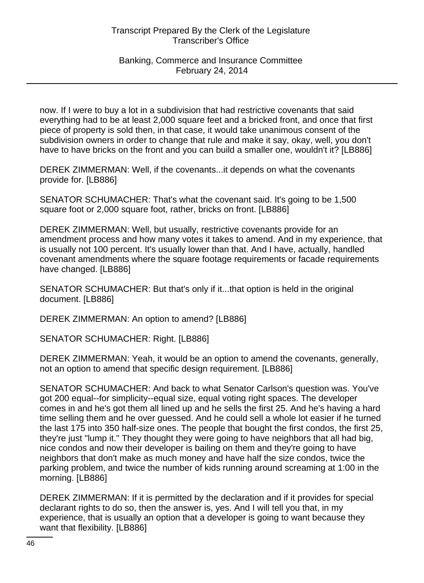now. If I were to buy a lot in a subdivision that had restrictive covenants that said everything had to be at least 2,000 square feet and a bricked front, and once that first piece of property is sold then, in that case, it would take unanimous consent of the subdivision owners in order to change that rule and make it say, okay, well, you don't have to have bricks on the front and you can build a smaller one, wouldn't it? [LB886]

DEREK ZIMMERMAN: Well, if the covenants...it depends on what the covenants provide for. [LB886]

SENATOR SCHUMACHER: That's what the covenant said. It's going to be 1,500 square foot or 2,000 square foot, rather, bricks on front. [LB886]

DEREK ZIMMERMAN: Well, but usually, restrictive covenants provide for an amendment process and how many votes it takes to amend. And in my experience, that is usually not 100 percent. It's usually lower than that. And I have, actually, handled covenant amendments where the square footage requirements or facade requirements have changed. [LB886]

SENATOR SCHUMACHER: But that's only if it...that option is held in the original document. [LB886]

DEREK ZIMMERMAN: An option to amend? [LB886]

SENATOR SCHUMACHER: Right. [LB886]

DEREK ZIMMERMAN: Yeah, it would be an option to amend the covenants, generally, not an option to amend that specific design requirement. [LB886]

SENATOR SCHUMACHER: And back to what Senator Carlson's question was. You've got 200 equal--for simplicity--equal size, equal voting right spaces. The developer comes in and he's got them all lined up and he sells the first 25. And he's having a hard time selling them and he over guessed. And he could sell a whole lot easier if he turned the last 175 into 350 half-size ones. The people that bought the first condos, the first 25, they're just "lump it." They thought they were going to have neighbors that all had big, nice condos and now their developer is bailing on them and they're going to have neighbors that don't make as much money and have half the size condos, twice the parking problem, and twice the number of kids running around screaming at 1:00 in the morning. [LB886]

DEREK ZIMMERMAN: If it is permitted by the declaration and if it provides for special declarant rights to do so, then the answer is, yes. And I will tell you that, in my experience, that is usually an option that a developer is going to want because they want that flexibility. [LB886]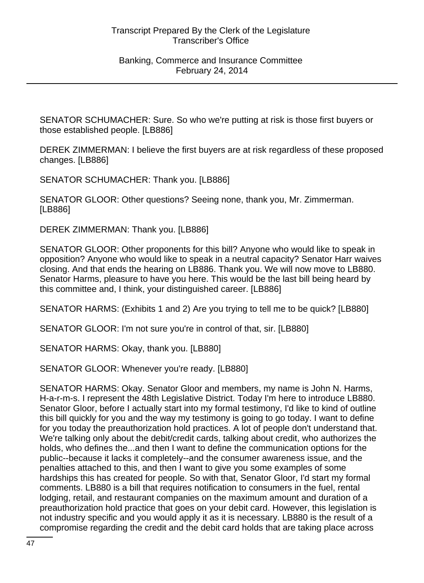SENATOR SCHUMACHER: Sure. So who we're putting at risk is those first buyers or those established people. [LB886]

DEREK ZIMMERMAN: I believe the first buyers are at risk regardless of these proposed changes. [LB886]

SENATOR SCHUMACHER: Thank you. [LB886]

SENATOR GLOOR: Other questions? Seeing none, thank you, Mr. Zimmerman. [LB886]

DEREK ZIMMERMAN: Thank you. [LB886]

SENATOR GLOOR: Other proponents for this bill? Anyone who would like to speak in opposition? Anyone who would like to speak in a neutral capacity? Senator Harr waives closing. And that ends the hearing on LB886. Thank you. We will now move to LB880. Senator Harms, pleasure to have you here. This would be the last bill being heard by this committee and, I think, your distinguished career. [LB886]

SENATOR HARMS: (Exhibits 1 and 2) Are you trying to tell me to be quick? [LB880]

SENATOR GLOOR: I'm not sure you're in control of that, sir. [LB880]

SENATOR HARMS: Okay, thank you. [LB880]

SENATOR GLOOR: Whenever you're ready. [LB880]

SENATOR HARMS: Okay. Senator Gloor and members, my name is John N. Harms, H-a-r-m-s. I represent the 48th Legislative District. Today I'm here to introduce LB880. Senator Gloor, before I actually start into my formal testimony, I'd like to kind of outline this bill quickly for you and the way my testimony is going to go today. I want to define for you today the preauthorization hold practices. A lot of people don't understand that. We're talking only about the debit/credit cards, talking about credit, who authorizes the holds, who defines the...and then I want to define the communication options for the public--because it lacks it completely--and the consumer awareness issue, and the penalties attached to this, and then I want to give you some examples of some hardships this has created for people. So with that, Senator Gloor, I'd start my formal comments. LB880 is a bill that requires notification to consumers in the fuel, rental lodging, retail, and restaurant companies on the maximum amount and duration of a preauthorization hold practice that goes on your debit card. However, this legislation is not industry specific and you would apply it as it is necessary. LB880 is the result of a compromise regarding the credit and the debit card holds that are taking place across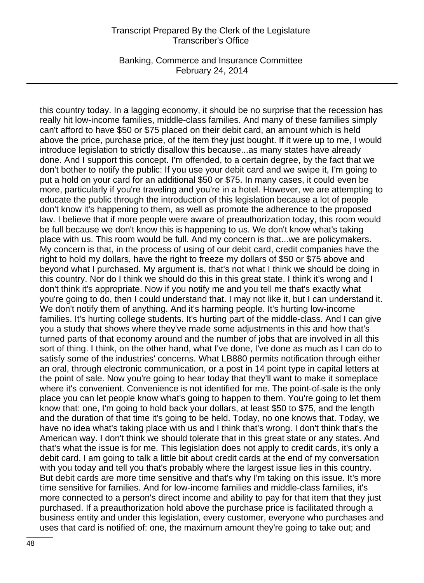Banking, Commerce and Insurance Committee February 24, 2014

this country today. In a lagging economy, it should be no surprise that the recession has really hit low-income families, middle-class families. And many of these families simply can't afford to have \$50 or \$75 placed on their debit card, an amount which is held above the price, purchase price, of the item they just bought. If it were up to me, I would introduce legislation to strictly disallow this because...as many states have already done. And I support this concept. I'm offended, to a certain degree, by the fact that we don't bother to notify the public: If you use your debit card and we swipe it, I'm going to put a hold on your card for an additional \$50 or \$75. In many cases, it could even be more, particularly if you're traveling and you're in a hotel. However, we are attempting to educate the public through the introduction of this legislation because a lot of people don't know it's happening to them, as well as promote the adherence to the proposed law. I believe that if more people were aware of preauthorization today, this room would be full because we don't know this is happening to us. We don't know what's taking place with us. This room would be full. And my concern is that...we are policymakers. My concern is that, in the process of using of our debit card, credit companies have the right to hold my dollars, have the right to freeze my dollars of \$50 or \$75 above and beyond what I purchased. My argument is, that's not what I think we should be doing in this country. Nor do I think we should do this in this great state. I think it's wrong and I don't think it's appropriate. Now if you notify me and you tell me that's exactly what you're going to do, then I could understand that. I may not like it, but I can understand it. We don't notify them of anything. And it's harming people. It's hurting low-income families. It's hurting college students. It's hurting part of the middle-class. And I can give you a study that shows where they've made some adjustments in this and how that's turned parts of that economy around and the number of jobs that are involved in all this sort of thing. I think, on the other hand, what I've done, I've done as much as I can do to satisfy some of the industries' concerns. What LB880 permits notification through either an oral, through electronic communication, or a post in 14 point type in capital letters at the point of sale. Now you're going to hear today that they'll want to make it someplace where it's convenient. Convenience is not identified for me. The point-of-sale is the only place you can let people know what's going to happen to them. You're going to let them know that: one, I'm going to hold back your dollars, at least \$50 to \$75, and the length and the duration of that time it's going to be held. Today, no one knows that. Today, we have no idea what's taking place with us and I think that's wrong. I don't think that's the American way. I don't think we should tolerate that in this great state or any states. And that's what the issue is for me. This legislation does not apply to credit cards, it's only a debit card. I am going to talk a little bit about credit cards at the end of my conversation with you today and tell you that's probably where the largest issue lies in this country. But debit cards are more time sensitive and that's why I'm taking on this issue. It's more time sensitive for families. And for low-income families and middle-class families, it's more connected to a person's direct income and ability to pay for that item that they just purchased. If a preauthorization hold above the purchase price is facilitated through a business entity and under this legislation, every customer, everyone who purchases and uses that card is notified of: one, the maximum amount they're going to take out; and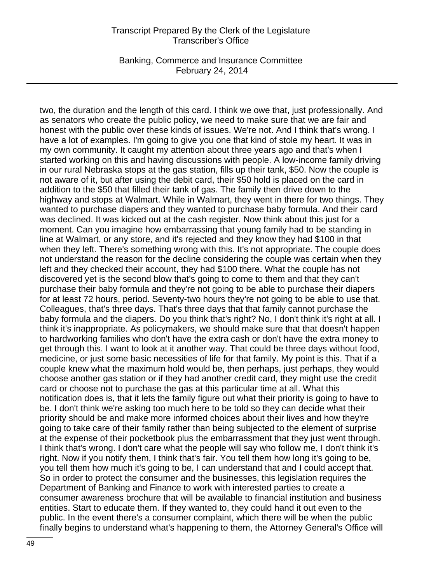Banking, Commerce and Insurance Committee February 24, 2014

two, the duration and the length of this card. I think we owe that, just professionally. And as senators who create the public policy, we need to make sure that we are fair and honest with the public over these kinds of issues. We're not. And I think that's wrong. I have a lot of examples. I'm going to give you one that kind of stole my heart. It was in my own community. It caught my attention about three years ago and that's when I started working on this and having discussions with people. A low-income family driving in our rural Nebraska stops at the gas station, fills up their tank, \$50. Now the couple is not aware of it, but after using the debit card, their \$50 hold is placed on the card in addition to the \$50 that filled their tank of gas. The family then drive down to the highway and stops at Walmart. While in Walmart, they went in there for two things. They wanted to purchase diapers and they wanted to purchase baby formula. And their card was declined. It was kicked out at the cash register. Now think about this just for a moment. Can you imagine how embarrassing that young family had to be standing in line at Walmart, or any store, and it's rejected and they know they had \$100 in that when they left. There's something wrong with this. It's not appropriate. The couple does not understand the reason for the decline considering the couple was certain when they left and they checked their account, they had \$100 there. What the couple has not discovered yet is the second blow that's going to come to them and that they can't purchase their baby formula and they're not going to be able to purchase their diapers for at least 72 hours, period. Seventy-two hours they're not going to be able to use that. Colleagues, that's three days. That's three days that that family cannot purchase the baby formula and the diapers. Do you think that's right? No, I don't think it's right at all. I think it's inappropriate. As policymakers, we should make sure that that doesn't happen to hardworking families who don't have the extra cash or don't have the extra money to get through this. I want to look at it another way. That could be three days without food, medicine, or just some basic necessities of life for that family. My point is this. That if a couple knew what the maximum hold would be, then perhaps, just perhaps, they would choose another gas station or if they had another credit card, they might use the credit card or choose not to purchase the gas at this particular time at all. What this notification does is, that it lets the family figure out what their priority is going to have to be. I don't think we're asking too much here to be told so they can decide what their priority should be and make more informed choices about their lives and how they're going to take care of their family rather than being subjected to the element of surprise at the expense of their pocketbook plus the embarrassment that they just went through. I think that's wrong. I don't care what the people will say who follow me, I don't think it's right. Now if you notify them, I think that's fair. You tell them how long it's going to be, you tell them how much it's going to be, I can understand that and I could accept that. So in order to protect the consumer and the businesses, this legislation requires the Department of Banking and Finance to work with interested parties to create a consumer awareness brochure that will be available to financial institution and business entities. Start to educate them. If they wanted to, they could hand it out even to the public. In the event there's a consumer complaint, which there will be when the public finally begins to understand what's happening to them, the Attorney General's Office will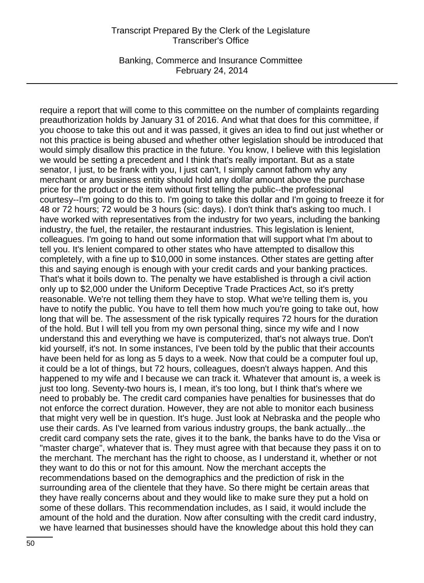Banking, Commerce and Insurance Committee February 24, 2014

require a report that will come to this committee on the number of complaints regarding preauthorization holds by January 31 of 2016. And what that does for this committee, if you choose to take this out and it was passed, it gives an idea to find out just whether or not this practice is being abused and whether other legislation should be introduced that would simply disallow this practice in the future. You know, I believe with this legislation we would be setting a precedent and I think that's really important. But as a state senator, I just, to be frank with you, I just can't, I simply cannot fathom why any merchant or any business entity should hold any dollar amount above the purchase price for the product or the item without first telling the public--the professional courtesy--I'm going to do this to. I'm going to take this dollar and I'm going to freeze it for 48 or 72 hours; 72 would be 3 hours (sic: days). I don't think that's asking too much. I have worked with representatives from the industry for two years, including the banking industry, the fuel, the retailer, the restaurant industries. This legislation is lenient, colleagues. I'm going to hand out some information that will support what I'm about to tell you. It's lenient compared to other states who have attempted to disallow this completely, with a fine up to \$10,000 in some instances. Other states are getting after this and saying enough is enough with your credit cards and your banking practices. That's what it boils down to. The penalty we have established is through a civil action only up to \$2,000 under the Uniform Deceptive Trade Practices Act, so it's pretty reasonable. We're not telling them they have to stop. What we're telling them is, you have to notify the public. You have to tell them how much you're going to take out, how long that will be. The assessment of the risk typically requires 72 hours for the duration of the hold. But I will tell you from my own personal thing, since my wife and I now understand this and everything we have is computerized, that's not always true. Don't kid yourself, it's not. In some instances, I've been told by the public that their accounts have been held for as long as 5 days to a week. Now that could be a computer foul up, it could be a lot of things, but 72 hours, colleagues, doesn't always happen. And this happened to my wife and I because we can track it. Whatever that amount is, a week is just too long. Seventy-two hours is, I mean, it's too long, but I think that's where we need to probably be. The credit card companies have penalties for businesses that do not enforce the correct duration. However, they are not able to monitor each business that might very well be in question. It's huge. Just look at Nebraska and the people who use their cards. As I've learned from various industry groups, the bank actually...the credit card company sets the rate, gives it to the bank, the banks have to do the Visa or "master charge", whatever that is. They must agree with that because they pass it on to the merchant. The merchant has the right to choose, as I understand it, whether or not they want to do this or not for this amount. Now the merchant accepts the recommendations based on the demographics and the prediction of risk in the surrounding area of the clientele that they have. So there might be certain areas that they have really concerns about and they would like to make sure they put a hold on some of these dollars. This recommendation includes, as I said, it would include the amount of the hold and the duration. Now after consulting with the credit card industry, we have learned that businesses should have the knowledge about this hold they can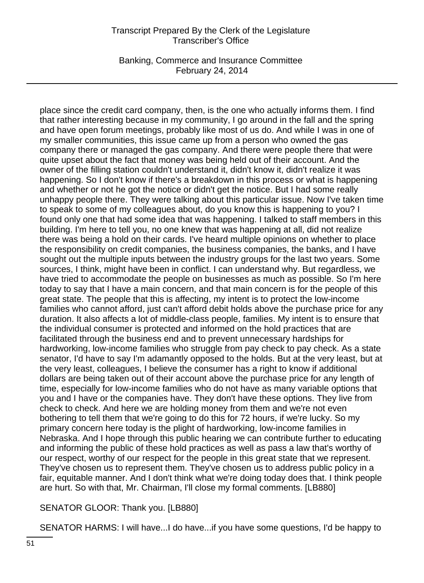Banking, Commerce and Insurance Committee February 24, 2014

place since the credit card company, then, is the one who actually informs them. I find that rather interesting because in my community, I go around in the fall and the spring and have open forum meetings, probably like most of us do. And while I was in one of my smaller communities, this issue came up from a person who owned the gas company there or managed the gas company. And there were people there that were quite upset about the fact that money was being held out of their account. And the owner of the filling station couldn't understand it, didn't know it, didn't realize it was happening. So I don't know if there's a breakdown in this process or what is happening and whether or not he got the notice or didn't get the notice. But I had some really unhappy people there. They were talking about this particular issue. Now I've taken time to speak to some of my colleagues about, do you know this is happening to you? I found only one that had some idea that was happening. I talked to staff members in this building. I'm here to tell you, no one knew that was happening at all, did not realize there was being a hold on their cards. I've heard multiple opinions on whether to place the responsibility on credit companies, the business companies, the banks, and I have sought out the multiple inputs between the industry groups for the last two years. Some sources, I think, might have been in conflict. I can understand why. But regardless, we have tried to accommodate the people on businesses as much as possible. So I'm here today to say that I have a main concern, and that main concern is for the people of this great state. The people that this is affecting, my intent is to protect the low-income families who cannot afford, just can't afford debit holds above the purchase price for any duration. It also affects a lot of middle-class people, families. My intent is to ensure that the individual consumer is protected and informed on the hold practices that are facilitated through the business end and to prevent unnecessary hardships for hardworking, low-income families who struggle from pay check to pay check. As a state senator, I'd have to say I'm adamantly opposed to the holds. But at the very least, but at the very least, colleagues, I believe the consumer has a right to know if additional dollars are being taken out of their account above the purchase price for any length of time, especially for low-income families who do not have as many variable options that you and I have or the companies have. They don't have these options. They live from check to check. And here we are holding money from them and we're not even bothering to tell them that we're going to do this for 72 hours, if we're lucky. So my primary concern here today is the plight of hardworking, low-income families in Nebraska. And I hope through this public hearing we can contribute further to educating and informing the public of these hold practices as well as pass a law that's worthy of our respect, worthy of our respect for the people in this great state that we represent. They've chosen us to represent them. They've chosen us to address public policy in a fair, equitable manner. And I don't think what we're doing today does that. I think people are hurt. So with that, Mr. Chairman, I'll close my formal comments. [LB880]

SENATOR GLOOR: Thank you. [LB880]

SENATOR HARMS: I will have...I do have...if you have some questions, I'd be happy to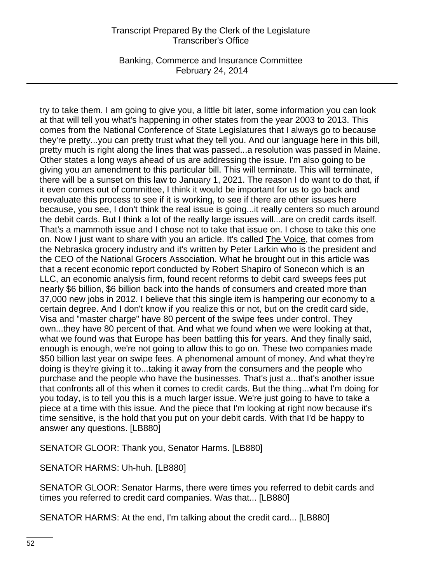Banking, Commerce and Insurance Committee February 24, 2014

try to take them. I am going to give you, a little bit later, some information you can look at that will tell you what's happening in other states from the year 2003 to 2013. This comes from the National Conference of State Legislatures that I always go to because they're pretty...you can pretty trust what they tell you. And our language here in this bill, pretty much is right along the lines that was passed...a resolution was passed in Maine. Other states a long ways ahead of us are addressing the issue. I'm also going to be giving you an amendment to this particular bill. This will terminate. This will terminate, there will be a sunset on this law to January 1, 2021. The reason I do want to do that, if it even comes out of committee, I think it would be important for us to go back and reevaluate this process to see if it is working, to see if there are other issues here because, you see, I don't think the real issue is going...it really centers so much around the debit cards. But I think a lot of the really large issues will...are on credit cards itself. That's a mammoth issue and I chose not to take that issue on. I chose to take this one on. Now I just want to share with you an article. It's called The Voice, that comes from the Nebraska grocery industry and it's written by Peter Larkin who is the president and the CEO of the National Grocers Association. What he brought out in this article was that a recent economic report conducted by Robert Shapiro of Sonecon which is an LLC, an economic analysis firm, found recent reforms to debit card sweeps fees put nearly \$6 billion, \$6 billion back into the hands of consumers and created more than 37,000 new jobs in 2012. I believe that this single item is hampering our economy to a certain degree. And I don't know if you realize this or not, but on the credit card side, Visa and "master charge" have 80 percent of the swipe fees under control. They own...they have 80 percent of that. And what we found when we were looking at that, what we found was that Europe has been battling this for years. And they finally said, enough is enough, we're not going to allow this to go on. These two companies made \$50 billion last year on swipe fees. A phenomenal amount of money. And what they're doing is they're giving it to...taking it away from the consumers and the people who purchase and the people who have the businesses. That's just a...that's another issue that confronts all of this when it comes to credit cards. But the thing...what I'm doing for you today, is to tell you this is a much larger issue. We're just going to have to take a piece at a time with this issue. And the piece that I'm looking at right now because it's time sensitive, is the hold that you put on your debit cards. With that I'd be happy to answer any questions. [LB880]

SENATOR GLOOR: Thank you, Senator Harms. [LB880]

SENATOR HARMS: Uh-huh. [LB880]

SENATOR GLOOR: Senator Harms, there were times you referred to debit cards and times you referred to credit card companies. Was that... [LB880]

SENATOR HARMS: At the end, I'm talking about the credit card... [LB880]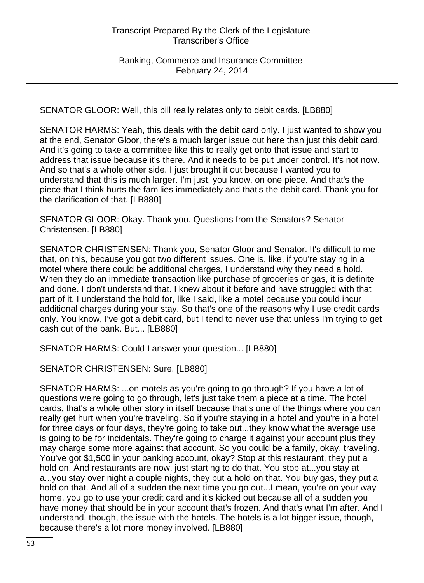SENATOR GLOOR: Well, this bill really relates only to debit cards. [LB880]

SENATOR HARMS: Yeah, this deals with the debit card only. I just wanted to show you at the end, Senator Gloor, there's a much larger issue out here than just this debit card. And it's going to take a committee like this to really get onto that issue and start to address that issue because it's there. And it needs to be put under control. It's not now. And so that's a whole other side. I just brought it out because I wanted you to understand that this is much larger. I'm just, you know, on one piece. And that's the piece that I think hurts the families immediately and that's the debit card. Thank you for the clarification of that. [LB880]

SENATOR GLOOR: Okay. Thank you. Questions from the Senators? Senator Christensen. [LB880]

SENATOR CHRISTENSEN: Thank you, Senator Gloor and Senator. It's difficult to me that, on this, because you got two different issues. One is, like, if you're staying in a motel where there could be additional charges, I understand why they need a hold. When they do an immediate transaction like purchase of groceries or gas, it is definite and done. I don't understand that. I knew about it before and have struggled with that part of it. I understand the hold for, like I said, like a motel because you could incur additional charges during your stay. So that's one of the reasons why I use credit cards only. You know, I've got a debit card, but I tend to never use that unless I'm trying to get cash out of the bank. But... [LB880]

SENATOR HARMS: Could I answer your question... [LB880]

SENATOR CHRISTENSEN: Sure. [LB880]

SENATOR HARMS: ...on motels as you're going to go through? If you have a lot of questions we're going to go through, let's just take them a piece at a time. The hotel cards, that's a whole other story in itself because that's one of the things where you can really get hurt when you're traveling. So if you're staying in a hotel and you're in a hotel for three days or four days, they're going to take out...they know what the average use is going to be for incidentals. They're going to charge it against your account plus they may charge some more against that account. So you could be a family, okay, traveling. You've got \$1,500 in your banking account, okay? Stop at this restaurant, they put a hold on. And restaurants are now, just starting to do that. You stop at...you stay at a...you stay over night a couple nights, they put a hold on that. You buy gas, they put a hold on that. And all of a sudden the next time you go out...I mean, you're on your way home, you go to use your credit card and it's kicked out because all of a sudden you have money that should be in your account that's frozen. And that's what I'm after. And I understand, though, the issue with the hotels. The hotels is a lot bigger issue, though, because there's a lot more money involved. [LB880]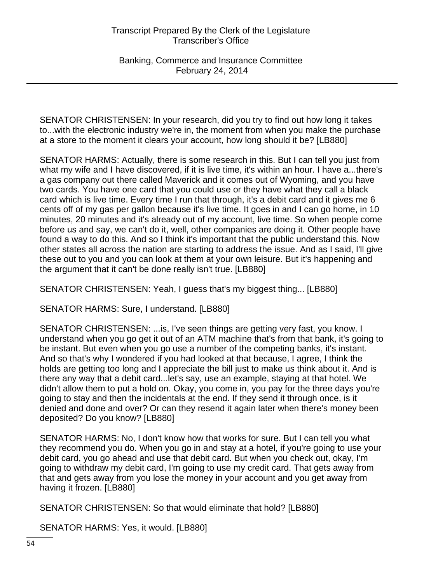Banking, Commerce and Insurance Committee February 24, 2014

SENATOR CHRISTENSEN: In your research, did you try to find out how long it takes to...with the electronic industry we're in, the moment from when you make the purchase at a store to the moment it clears your account, how long should it be? [LB880]

SENATOR HARMS: Actually, there is some research in this. But I can tell you just from what my wife and I have discovered, if it is live time, it's within an hour. I have a...there's a gas company out there called Maverick and it comes out of Wyoming, and you have two cards. You have one card that you could use or they have what they call a black card which is live time. Every time I run that through, it's a debit card and it gives me 6 cents off of my gas per gallon because it's live time. It goes in and I can go home, in 10 minutes, 20 minutes and it's already out of my account, live time. So when people come before us and say, we can't do it, well, other companies are doing it. Other people have found a way to do this. And so I think it's important that the public understand this. Now other states all across the nation are starting to address the issue. And as I said, I'll give these out to you and you can look at them at your own leisure. But it's happening and the argument that it can't be done really isn't true. [LB880]

SENATOR CHRISTENSEN: Yeah, I guess that's my biggest thing... [LB880]

SENATOR HARMS: Sure, I understand. [LB880]

SENATOR CHRISTENSEN: ...is, I've seen things are getting very fast, you know. I understand when you go get it out of an ATM machine that's from that bank, it's going to be instant. But even when you go use a number of the competing banks, it's instant. And so that's why I wondered if you had looked at that because, I agree, I think the holds are getting too long and I appreciate the bill just to make us think about it. And is there any way that a debit card...let's say, use an example, staying at that hotel. We didn't allow them to put a hold on. Okay, you come in, you pay for the three days you're going to stay and then the incidentals at the end. If they send it through once, is it denied and done and over? Or can they resend it again later when there's money been deposited? Do you know? [LB880]

SENATOR HARMS: No, I don't know how that works for sure. But I can tell you what they recommend you do. When you go in and stay at a hotel, if you're going to use your debit card, you go ahead and use that debit card. But when you check out, okay, I'm going to withdraw my debit card, I'm going to use my credit card. That gets away from that and gets away from you lose the money in your account and you get away from having it frozen. [LB880]

SENATOR CHRISTENSEN: So that would eliminate that hold? [LB880]

SENATOR HARMS: Yes, it would. [LB880]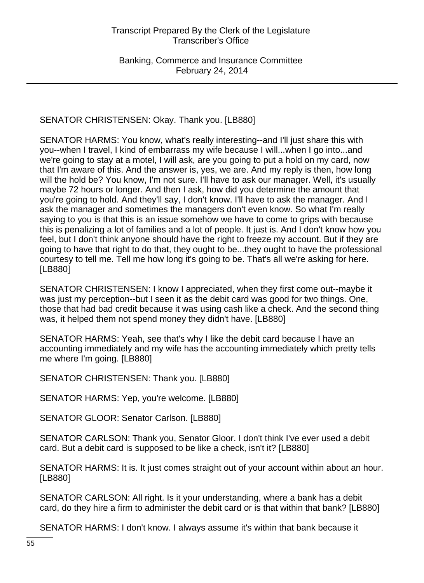# SENATOR CHRISTENSEN: Okay. Thank you. [LB880]

SENATOR HARMS: You know, what's really interesting--and I'll just share this with you--when I travel, I kind of embarrass my wife because I will...when I go into...and we're going to stay at a motel, I will ask, are you going to put a hold on my card, now that I'm aware of this. And the answer is, yes, we are. And my reply is then, how long will the hold be? You know, I'm not sure. I'll have to ask our manager. Well, it's usually maybe 72 hours or longer. And then I ask, how did you determine the amount that you're going to hold. And they'll say, I don't know. I'll have to ask the manager. And I ask the manager and sometimes the managers don't even know. So what I'm really saying to you is that this is an issue somehow we have to come to grips with because this is penalizing a lot of families and a lot of people. It just is. And I don't know how you feel, but I don't think anyone should have the right to freeze my account. But if they are going to have that right to do that, they ought to be...they ought to have the professional courtesy to tell me. Tell me how long it's going to be. That's all we're asking for here. [LB880]

SENATOR CHRISTENSEN: I know I appreciated, when they first come out--maybe it was just my perception--but I seen it as the debit card was good for two things. One, those that had bad credit because it was using cash like a check. And the second thing was, it helped them not spend money they didn't have. [LB880]

SENATOR HARMS: Yeah, see that's why I like the debit card because I have an accounting immediately and my wife has the accounting immediately which pretty tells me where I'm going. [LB880]

SENATOR CHRISTENSEN: Thank you. [LB880]

SENATOR HARMS: Yep, you're welcome. [LB880]

SENATOR GLOOR: Senator Carlson. [LB880]

SENATOR CARLSON: Thank you, Senator Gloor. I don't think I've ever used a debit card. But a debit card is supposed to be like a check, isn't it? [LB880]

SENATOR HARMS: It is. It just comes straight out of your account within about an hour. [LB880]

SENATOR CARLSON: All right. Is it your understanding, where a bank has a debit card, do they hire a firm to administer the debit card or is that within that bank? [LB880]

SENATOR HARMS: I don't know. I always assume it's within that bank because it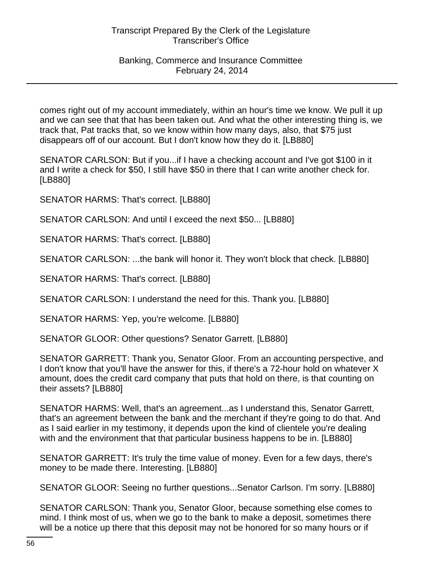# Banking, Commerce and Insurance Committee February 24, 2014

comes right out of my account immediately, within an hour's time we know. We pull it up and we can see that that has been taken out. And what the other interesting thing is, we track that, Pat tracks that, so we know within how many days, also, that \$75 just disappears off of our account. But I don't know how they do it. [LB880]

SENATOR CARLSON: But if you...if I have a checking account and I've got \$100 in it and I write a check for \$50, I still have \$50 in there that I can write another check for. [LB880]

SENATOR HARMS: That's correct. [LB880]

SENATOR CARLSON: And until I exceed the next \$50... [LB880]

SENATOR HARMS: That's correct. [LB880]

SENATOR CARLSON: ...the bank will honor it. They won't block that check. [LB880]

SENATOR HARMS: That's correct. [LB880]

SENATOR CARLSON: I understand the need for this. Thank you. [LB880]

SENATOR HARMS: Yep, you're welcome. [LB880]

SENATOR GLOOR: Other questions? Senator Garrett. [LB880]

SENATOR GARRETT: Thank you, Senator Gloor. From an accounting perspective, and I don't know that you'll have the answer for this, if there's a 72-hour hold on whatever X amount, does the credit card company that puts that hold on there, is that counting on their assets? [LB880]

SENATOR HARMS: Well, that's an agreement...as I understand this, Senator Garrett, that's an agreement between the bank and the merchant if they're going to do that. And as I said earlier in my testimony, it depends upon the kind of clientele you're dealing with and the environment that that particular business happens to be in. [LB880]

SENATOR GARRETT: It's truly the time value of money. Even for a few days, there's money to be made there. Interesting. [LB880]

SENATOR GLOOR: Seeing no further questions...Senator Carlson. I'm sorry. [LB880]

SENATOR CARLSON: Thank you, Senator Gloor, because something else comes to mind. I think most of us, when we go to the bank to make a deposit, sometimes there will be a notice up there that this deposit may not be honored for so many hours or if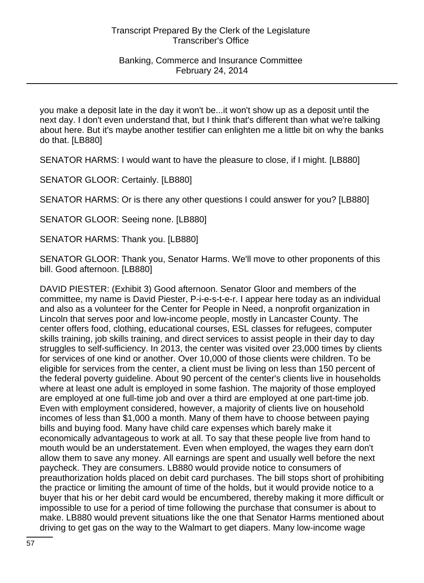you make a deposit late in the day it won't be...it won't show up as a deposit until the next day. I don't even understand that, but I think that's different than what we're talking about here. But it's maybe another testifier can enlighten me a little bit on why the banks do that. [LB880]

SENATOR HARMS: I would want to have the pleasure to close, if I might. [LB880]

SENATOR GLOOR: Certainly. [LB880]

SENATOR HARMS: Or is there any other questions I could answer for you? [LB880]

SENATOR GLOOR: Seeing none. [LB880]

SENATOR HARMS: Thank you. [LB880]

SENATOR GLOOR: Thank you, Senator Harms. We'll move to other proponents of this bill. Good afternoon. [LB880]

DAVID PIESTER: (Exhibit 3) Good afternoon. Senator Gloor and members of the committee, my name is David Piester, P-i-e-s-t-e-r. I appear here today as an individual and also as a volunteer for the Center for People in Need, a nonprofit organization in Lincoln that serves poor and low-income people, mostly in Lancaster County. The center offers food, clothing, educational courses, ESL classes for refugees, computer skills training, job skills training, and direct services to assist people in their day to day struggles to self-sufficiency. In 2013, the center was visited over 23,000 times by clients for services of one kind or another. Over 10,000 of those clients were children. To be eligible for services from the center, a client must be living on less than 150 percent of the federal poverty guideline. About 90 percent of the center's clients live in households where at least one adult is employed in some fashion. The majority of those employed are employed at one full-time job and over a third are employed at one part-time job. Even with employment considered, however, a majority of clients live on household incomes of less than \$1,000 a month. Many of them have to choose between paying bills and buying food. Many have child care expenses which barely make it economically advantageous to work at all. To say that these people live from hand to mouth would be an understatement. Even when employed, the wages they earn don't allow them to save any money. All earnings are spent and usually well before the next paycheck. They are consumers. LB880 would provide notice to consumers of preauthorization holds placed on debit card purchases. The bill stops short of prohibiting the practice or limiting the amount of time of the holds, but it would provide notice to a buyer that his or her debit card would be encumbered, thereby making it more difficult or impossible to use for a period of time following the purchase that consumer is about to make. LB880 would prevent situations like the one that Senator Harms mentioned about driving to get gas on the way to the Walmart to get diapers. Many low-income wage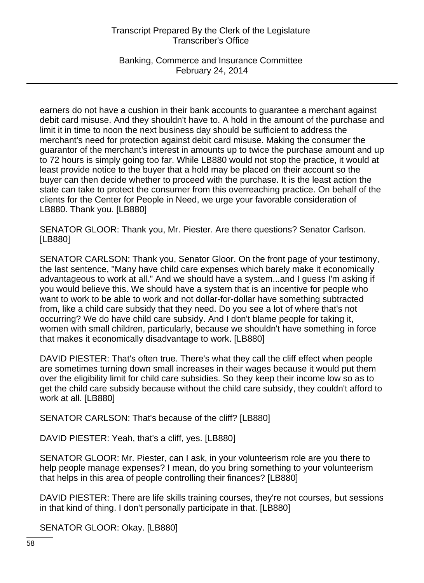Banking, Commerce and Insurance Committee February 24, 2014

earners do not have a cushion in their bank accounts to guarantee a merchant against debit card misuse. And they shouldn't have to. A hold in the amount of the purchase and limit it in time to noon the next business day should be sufficient to address the merchant's need for protection against debit card misuse. Making the consumer the guarantor of the merchant's interest in amounts up to twice the purchase amount and up to 72 hours is simply going too far. While LB880 would not stop the practice, it would at least provide notice to the buyer that a hold may be placed on their account so the buyer can then decide whether to proceed with the purchase. It is the least action the state can take to protect the consumer from this overreaching practice. On behalf of the clients for the Center for People in Need, we urge your favorable consideration of LB880. Thank you. [LB880]

SENATOR GLOOR: Thank you, Mr. Piester. Are there questions? Senator Carlson. [LB880]

SENATOR CARLSON: Thank you, Senator Gloor. On the front page of your testimony, the last sentence, "Many have child care expenses which barely make it economically advantageous to work at all." And we should have a system...and I guess I'm asking if you would believe this. We should have a system that is an incentive for people who want to work to be able to work and not dollar-for-dollar have something subtracted from, like a child care subsidy that they need. Do you see a lot of where that's not occurring? We do have child care subsidy. And I don't blame people for taking it, women with small children, particularly, because we shouldn't have something in force that makes it economically disadvantage to work. [LB880]

DAVID PIESTER: That's often true. There's what they call the cliff effect when people are sometimes turning down small increases in their wages because it would put them over the eligibility limit for child care subsidies. So they keep their income low so as to get the child care subsidy because without the child care subsidy, they couldn't afford to work at all. [LB880]

SENATOR CARLSON: That's because of the cliff? [LB880]

DAVID PIESTER: Yeah, that's a cliff, yes. [LB880]

SENATOR GLOOR: Mr. Piester, can I ask, in your volunteerism role are you there to help people manage expenses? I mean, do you bring something to your volunteerism that helps in this area of people controlling their finances? [LB880]

DAVID PIESTER: There are life skills training courses, they're not courses, but sessions in that kind of thing. I don't personally participate in that. [LB880]

SENATOR GLOOR: Okay. [LB880]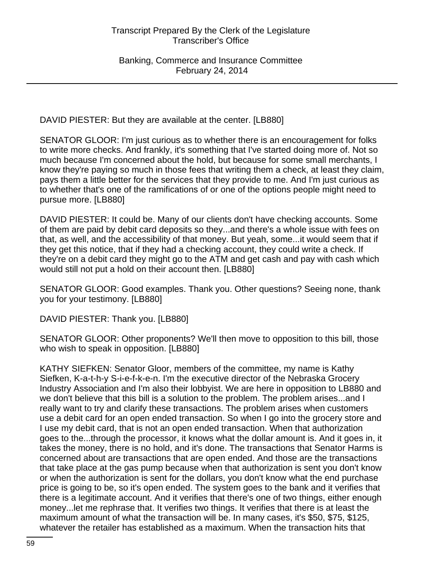DAVID PIESTER: But they are available at the center. [LB880]

SENATOR GLOOR: I'm just curious as to whether there is an encouragement for folks to write more checks. And frankly, it's something that I've started doing more of. Not so much because I'm concerned about the hold, but because for some small merchants, I know they're paying so much in those fees that writing them a check, at least they claim, pays them a little better for the services that they provide to me. And I'm just curious as to whether that's one of the ramifications of or one of the options people might need to pursue more. [LB880]

DAVID PIESTER: It could be. Many of our clients don't have checking accounts. Some of them are paid by debit card deposits so they...and there's a whole issue with fees on that, as well, and the accessibility of that money. But yeah, some...it would seem that if they get this notice, that if they had a checking account, they could write a check. If they're on a debit card they might go to the ATM and get cash and pay with cash which would still not put a hold on their account then. [LB880]

SENATOR GLOOR: Good examples. Thank you. Other questions? Seeing none, thank you for your testimony. [LB880]

DAVID PIESTER: Thank you. [LB880]

SENATOR GLOOR: Other proponents? We'll then move to opposition to this bill, those who wish to speak in opposition. [LB880]

KATHY SIEFKEN: Senator Gloor, members of the committee, my name is Kathy Siefken, K-a-t-h-y S-i-e-f-k-e-n. I'm the executive director of the Nebraska Grocery Industry Association and I'm also their lobbyist. We are here in opposition to LB880 and we don't believe that this bill is a solution to the problem. The problem arises...and I really want to try and clarify these transactions. The problem arises when customers use a debit card for an open ended transaction. So when I go into the grocery store and I use my debit card, that is not an open ended transaction. When that authorization goes to the...through the processor, it knows what the dollar amount is. And it goes in, it takes the money, there is no hold, and it's done. The transactions that Senator Harms is concerned about are transactions that are open ended. And those are the transactions that take place at the gas pump because when that authorization is sent you don't know or when the authorization is sent for the dollars, you don't know what the end purchase price is going to be, so it's open ended. The system goes to the bank and it verifies that there is a legitimate account. And it verifies that there's one of two things, either enough money...let me rephrase that. It verifies two things. It verifies that there is at least the maximum amount of what the transaction will be. In many cases, it's \$50, \$75, \$125, whatever the retailer has established as a maximum. When the transaction hits that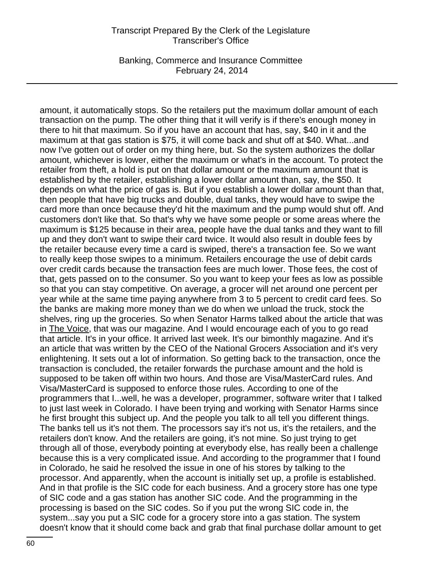Banking, Commerce and Insurance Committee February 24, 2014

amount, it automatically stops. So the retailers put the maximum dollar amount of each transaction on the pump. The other thing that it will verify is if there's enough money in there to hit that maximum. So if you have an account that has, say, \$40 in it and the maximum at that gas station is \$75, it will come back and shut off at \$40. What...and now I've gotten out of order on my thing here, but. So the system authorizes the dollar amount, whichever is lower, either the maximum or what's in the account. To protect the retailer from theft, a hold is put on that dollar amount or the maximum amount that is established by the retailer, establishing a lower dollar amount than, say, the \$50. It depends on what the price of gas is. But if you establish a lower dollar amount than that, then people that have big trucks and double, dual tanks, they would have to swipe the card more than once because they'd hit the maximum and the pump would shut off. And customers don't like that. So that's why we have some people or some areas where the maximum is \$125 because in their area, people have the dual tanks and they want to fill up and they don't want to swipe their card twice. It would also result in double fees by the retailer because every time a card is swiped, there's a transaction fee. So we want to really keep those swipes to a minimum. Retailers encourage the use of debit cards over credit cards because the transaction fees are much lower. Those fees, the cost of that, gets passed on to the consumer. So you want to keep your fees as low as possible so that you can stay competitive. On average, a grocer will net around one percent per year while at the same time paying anywhere from 3 to 5 percent to credit card fees. So the banks are making more money than we do when we unload the truck, stock the shelves, ring up the groceries. So when Senator Harms talked about the article that was in The Voice, that was our magazine. And I would encourage each of you to go read that article. It's in your office. It arrived last week. It's our bimonthly magazine. And it's an article that was written by the CEO of the National Grocers Association and it's very enlightening. It sets out a lot of information. So getting back to the transaction, once the transaction is concluded, the retailer forwards the purchase amount and the hold is supposed to be taken off within two hours. And those are Visa/MasterCard rules. And Visa/MasterCard is supposed to enforce those rules. According to one of the programmers that I...well, he was a developer, programmer, software writer that I talked to just last week in Colorado. I have been trying and working with Senator Harms since he first brought this subject up. And the people you talk to all tell you different things. The banks tell us it's not them. The processors say it's not us, it's the retailers, and the retailers don't know. And the retailers are going, it's not mine. So just trying to get through all of those, everybody pointing at everybody else, has really been a challenge because this is a very complicated issue. And according to the programmer that I found in Colorado, he said he resolved the issue in one of his stores by talking to the processor. And apparently, when the account is initially set up, a profile is established. And in that profile is the SIC code for each business. And a grocery store has one type of SIC code and a gas station has another SIC code. And the programming in the processing is based on the SIC codes. So if you put the wrong SIC code in, the system...say you put a SIC code for a grocery store into a gas station. The system doesn't know that it should come back and grab that final purchase dollar amount to get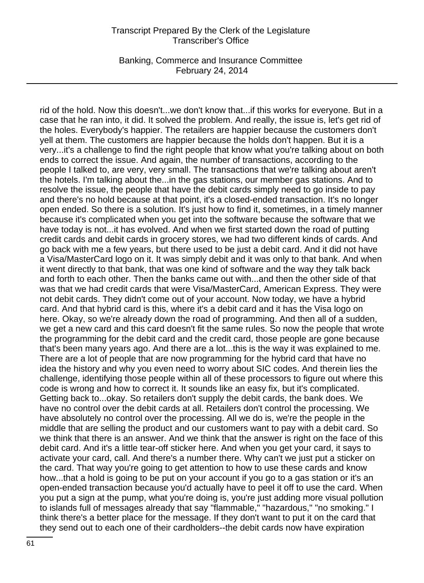Banking, Commerce and Insurance Committee February 24, 2014

rid of the hold. Now this doesn't...we don't know that...if this works for everyone. But in a case that he ran into, it did. It solved the problem. And really, the issue is, let's get rid of the holes. Everybody's happier. The retailers are happier because the customers don't yell at them. The customers are happier because the holds don't happen. But it is a very...it's a challenge to find the right people that know what you're talking about on both ends to correct the issue. And again, the number of transactions, according to the people I talked to, are very, very small. The transactions that we're talking about aren't the hotels. I'm talking about the...in the gas stations, our member gas stations. And to resolve the issue, the people that have the debit cards simply need to go inside to pay and there's no hold because at that point, it's a closed-ended transaction. It's no longer open ended. So there is a solution. It's just how to find it, sometimes, in a timely manner because it's complicated when you get into the software because the software that we have today is not...it has evolved. And when we first started down the road of putting credit cards and debit cards in grocery stores, we had two different kinds of cards. And go back with me a few years, but there used to be just a debit card. And it did not have a Visa/MasterCard logo on it. It was simply debit and it was only to that bank. And when it went directly to that bank, that was one kind of software and the way they talk back and forth to each other. Then the banks came out with...and then the other side of that was that we had credit cards that were Visa/MasterCard, American Express. They were not debit cards. They didn't come out of your account. Now today, we have a hybrid card. And that hybrid card is this, where it's a debit card and it has the Visa logo on here. Okay, so we're already down the road of programming. And then all of a sudden, we get a new card and this card doesn't fit the same rules. So now the people that wrote the programming for the debit card and the credit card, those people are gone because that's been many years ago. And there are a lot...this is the way it was explained to me. There are a lot of people that are now programming for the hybrid card that have no idea the history and why you even need to worry about SIC codes. And therein lies the challenge, identifying those people within all of these processors to figure out where this code is wrong and how to correct it. It sounds like an easy fix, but it's complicated. Getting back to...okay. So retailers don't supply the debit cards, the bank does. We have no control over the debit cards at all. Retailers don't control the processing. We have absolutely no control over the processing. All we do is, we're the people in the middle that are selling the product and our customers want to pay with a debit card. So we think that there is an answer. And we think that the answer is right on the face of this debit card. And it's a little tear-off sticker here. And when you get your card, it says to activate your card, call. And there's a number there. Why can't we just put a sticker on the card. That way you're going to get attention to how to use these cards and know how...that a hold is going to be put on your account if you go to a gas station or it's an open-ended transaction because you'd actually have to peel it off to use the card. When you put a sign at the pump, what you're doing is, you're just adding more visual pollution to islands full of messages already that say "flammable," "hazardous," "no smoking." I think there's a better place for the message. If they don't want to put it on the card that they send out to each one of their cardholders--the debit cards now have expiration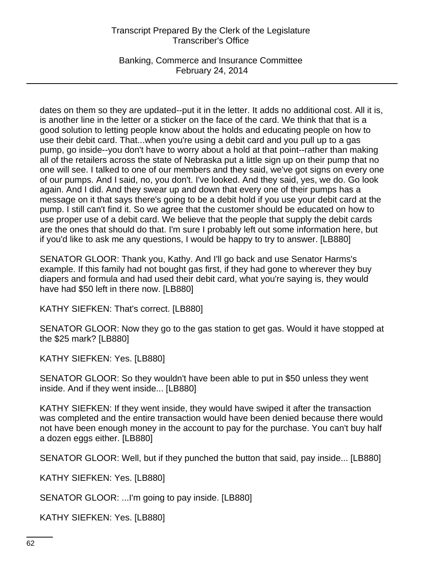Banking, Commerce and Insurance Committee February 24, 2014

dates on them so they are updated--put it in the letter. It adds no additional cost. All it is, is another line in the letter or a sticker on the face of the card. We think that that is a good solution to letting people know about the holds and educating people on how to use their debit card. That...when you're using a debit card and you pull up to a gas pump, go inside--you don't have to worry about a hold at that point--rather than making all of the retailers across the state of Nebraska put a little sign up on their pump that no one will see. I talked to one of our members and they said, we've got signs on every one of our pumps. And I said, no, you don't. I've looked. And they said, yes, we do. Go look again. And I did. And they swear up and down that every one of their pumps has a message on it that says there's going to be a debit hold if you use your debit card at the pump. I still can't find it. So we agree that the customer should be educated on how to use proper use of a debit card. We believe that the people that supply the debit cards are the ones that should do that. I'm sure I probably left out some information here, but if you'd like to ask me any questions, I would be happy to try to answer. [LB880]

SENATOR GLOOR: Thank you, Kathy. And I'll go back and use Senator Harms's example. If this family had not bought gas first, if they had gone to wherever they buy diapers and formula and had used their debit card, what you're saying is, they would have had \$50 left in there now. [LB880]

KATHY SIEFKEN: That's correct. [LB880]

SENATOR GLOOR: Now they go to the gas station to get gas. Would it have stopped at the \$25 mark? [LB880]

KATHY SIEFKEN: Yes. [LB880]

SENATOR GLOOR: So they wouldn't have been able to put in \$50 unless they went inside. And if they went inside... [LB880]

KATHY SIEFKEN: If they went inside, they would have swiped it after the transaction was completed and the entire transaction would have been denied because there would not have been enough money in the account to pay for the purchase. You can't buy half a dozen eggs either. [LB880]

SENATOR GLOOR: Well, but if they punched the button that said, pay inside... [LB880]

KATHY SIEFKEN: Yes. [LB880]

SENATOR GLOOR: ...I'm going to pay inside. [LB880]

KATHY SIEFKEN: Yes. [LB880]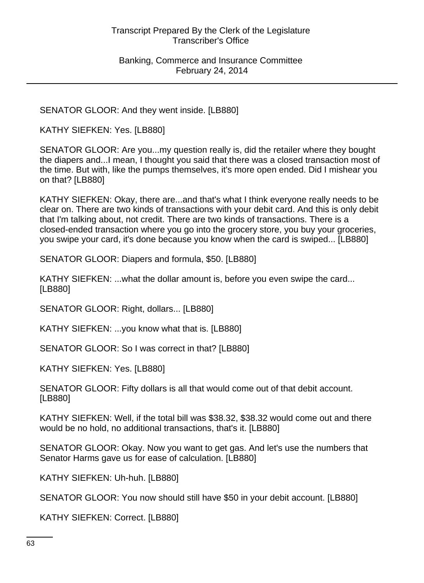SENATOR GLOOR: And they went inside. [LB880]

KATHY SIEFKEN: Yes. [LB880]

SENATOR GLOOR: Are you...my question really is, did the retailer where they bought the diapers and...I mean, I thought you said that there was a closed transaction most of the time. But with, like the pumps themselves, it's more open ended. Did I mishear you on that? [LB880]

KATHY SIEFKEN: Okay, there are...and that's what I think everyone really needs to be clear on. There are two kinds of transactions with your debit card. And this is only debit that I'm talking about, not credit. There are two kinds of transactions. There is a closed-ended transaction where you go into the grocery store, you buy your groceries, you swipe your card, it's done because you know when the card is swiped... [LB880]

SENATOR GLOOR: Diapers and formula, \$50. [LB880]

KATHY SIEFKEN: ...what the dollar amount is, before you even swipe the card... [LB880]

SENATOR GLOOR: Right, dollars... [LB880]

KATHY SIEFKEN: ...you know what that is. [LB880]

SENATOR GLOOR: So I was correct in that? [LB880]

KATHY SIEFKEN: Yes. [LB880]

SENATOR GLOOR: Fifty dollars is all that would come out of that debit account. [LB880]

KATHY SIEFKEN: Well, if the total bill was \$38.32, \$38.32 would come out and there would be no hold, no additional transactions, that's it. [LB880]

SENATOR GLOOR: Okay. Now you want to get gas. And let's use the numbers that Senator Harms gave us for ease of calculation. [LB880]

KATHY SIEFKEN: Uh-huh. [LB880]

SENATOR GLOOR: You now should still have \$50 in your debit account. [LB880]

KATHY SIEFKEN: Correct. [LB880]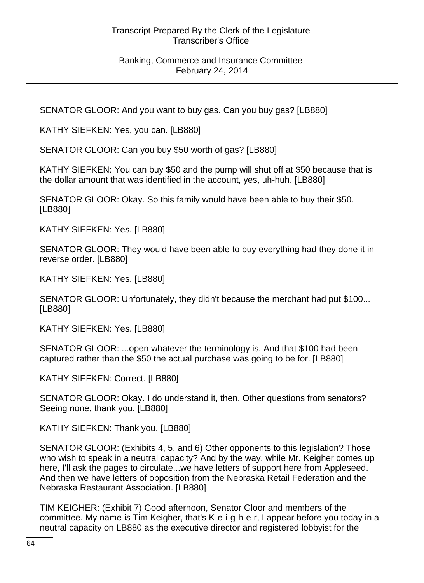SENATOR GLOOR: And you want to buy gas. Can you buy gas? [LB880]

KATHY SIEFKEN: Yes, you can. [LB880]

SENATOR GLOOR: Can you buy \$50 worth of gas? [LB880]

KATHY SIEFKEN: You can buy \$50 and the pump will shut off at \$50 because that is the dollar amount that was identified in the account, yes, uh-huh. [LB880]

SENATOR GLOOR: Okay. So this family would have been able to buy their \$50. [LB880]

KATHY SIEFKEN: Yes. [LB880]

SENATOR GLOOR: They would have been able to buy everything had they done it in reverse order. [LB880]

KATHY SIEFKEN: Yes. [LB880]

SENATOR GLOOR: Unfortunately, they didn't because the merchant had put \$100... [LB880]

KATHY SIEFKEN: Yes. [LB880]

SENATOR GLOOR: ...open whatever the terminology is. And that \$100 had been captured rather than the \$50 the actual purchase was going to be for. [LB880]

KATHY SIEFKEN: Correct. [LB880]

SENATOR GLOOR: Okay. I do understand it, then. Other questions from senators? Seeing none, thank you. [LB880]

KATHY SIEFKEN: Thank you. [LB880]

SENATOR GLOOR: (Exhibits 4, 5, and 6) Other opponents to this legislation? Those who wish to speak in a neutral capacity? And by the way, while Mr. Keigher comes up here, I'll ask the pages to circulate...we have letters of support here from Appleseed. And then we have letters of opposition from the Nebraska Retail Federation and the Nebraska Restaurant Association. [LB880]

TIM KEIGHER: (Exhibit 7) Good afternoon, Senator Gloor and members of the committee. My name is Tim Keigher, that's K-e-i-g-h-e-r, I appear before you today in a neutral capacity on LB880 as the executive director and registered lobbyist for the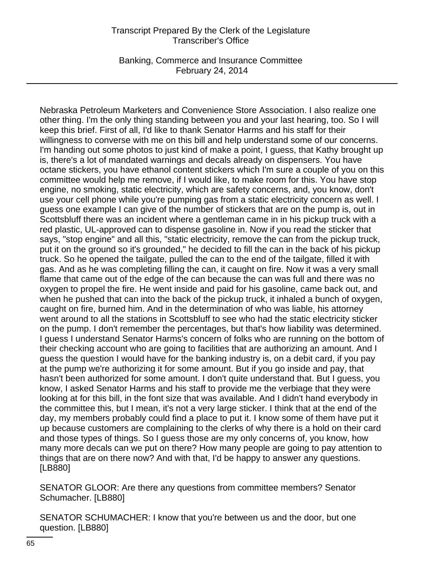Banking, Commerce and Insurance Committee February 24, 2014

Nebraska Petroleum Marketers and Convenience Store Association. I also realize one other thing. I'm the only thing standing between you and your last hearing, too. So I will keep this brief. First of all, I'd like to thank Senator Harms and his staff for their willingness to converse with me on this bill and help understand some of our concerns. I'm handing out some photos to just kind of make a point, I guess, that Kathy brought up is, there's a lot of mandated warnings and decals already on dispensers. You have octane stickers, you have ethanol content stickers which I'm sure a couple of you on this committee would help me remove, if I would like, to make room for this. You have stop engine, no smoking, static electricity, which are safety concerns, and, you know, don't use your cell phone while you're pumping gas from a static electricity concern as well. I guess one example I can give of the number of stickers that are on the pump is, out in Scottsbluff there was an incident where a gentleman came in in his pickup truck with a red plastic, UL-approved can to dispense gasoline in. Now if you read the sticker that says, "stop engine" and all this, "static electricity, remove the can from the pickup truck, put it on the ground so it's grounded," he decided to fill the can in the back of his pickup truck. So he opened the tailgate, pulled the can to the end of the tailgate, filled it with gas. And as he was completing filling the can, it caught on fire. Now it was a very small flame that came out of the edge of the can because the can was full and there was no oxygen to propel the fire. He went inside and paid for his gasoline, came back out, and when he pushed that can into the back of the pickup truck, it inhaled a bunch of oxygen, caught on fire, burned him. And in the determination of who was liable, his attorney went around to all the stations in Scottsbluff to see who had the static electricity sticker on the pump. I don't remember the percentages, but that's how liability was determined. I guess I understand Senator Harms's concern of folks who are running on the bottom of their checking account who are going to facilities that are authorizing an amount. And I guess the question I would have for the banking industry is, on a debit card, if you pay at the pump we're authorizing it for some amount. But if you go inside and pay, that hasn't been authorized for some amount. I don't quite understand that. But I guess, you know, I asked Senator Harms and his staff to provide me the verbiage that they were looking at for this bill, in the font size that was available. And I didn't hand everybody in the committee this, but I mean, it's not a very large sticker. I think that at the end of the day, my members probably could find a place to put it. I know some of them have put it up because customers are complaining to the clerks of why there is a hold on their card and those types of things. So I guess those are my only concerns of, you know, how many more decals can we put on there? How many people are going to pay attention to things that are on there now? And with that, I'd be happy to answer any questions. [LB880]

SENATOR GLOOR: Are there any questions from committee members? Senator Schumacher. [LB880]

SENATOR SCHUMACHER: I know that you're between us and the door, but one question. [LB880]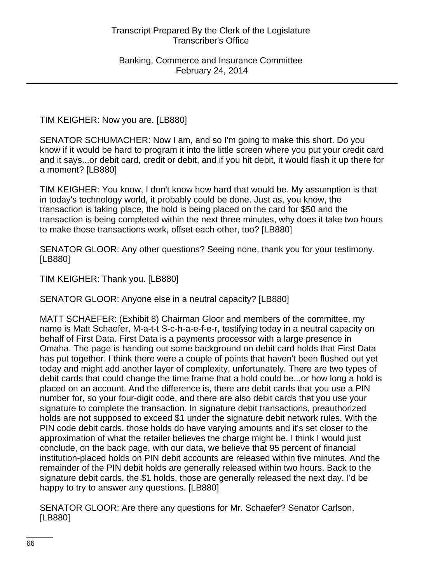TIM KEIGHER: Now you are. [LB880]

SENATOR SCHUMACHER: Now I am, and so I'm going to make this short. Do you know if it would be hard to program it into the little screen where you put your credit card and it says...or debit card, credit or debit, and if you hit debit, it would flash it up there for a moment? [LB880]

TIM KEIGHER: You know, I don't know how hard that would be. My assumption is that in today's technology world, it probably could be done. Just as, you know, the transaction is taking place, the hold is being placed on the card for \$50 and the transaction is being completed within the next three minutes, why does it take two hours to make those transactions work, offset each other, too? [LB880]

SENATOR GLOOR: Any other questions? Seeing none, thank you for your testimony. [LB880]

TIM KEIGHER: Thank you. [LB880]

SENATOR GLOOR: Anyone else in a neutral capacity? [LB880]

MATT SCHAEFER: (Exhibit 8) Chairman Gloor and members of the committee, my name is Matt Schaefer, M-a-t-t S-c-h-a-e-f-e-r, testifying today in a neutral capacity on behalf of First Data. First Data is a payments processor with a large presence in Omaha. The page is handing out some background on debit card holds that First Data has put together. I think there were a couple of points that haven't been flushed out yet today and might add another layer of complexity, unfortunately. There are two types of debit cards that could change the time frame that a hold could be...or how long a hold is placed on an account. And the difference is, there are debit cards that you use a PIN number for, so your four-digit code, and there are also debit cards that you use your signature to complete the transaction. In signature debit transactions, preauthorized holds are not supposed to exceed \$1 under the signature debit network rules. With the PIN code debit cards, those holds do have varying amounts and it's set closer to the approximation of what the retailer believes the charge might be. I think I would just conclude, on the back page, with our data, we believe that 95 percent of financial institution-placed holds on PIN debit accounts are released within five minutes. And the remainder of the PIN debit holds are generally released within two hours. Back to the signature debit cards, the \$1 holds, those are generally released the next day. I'd be happy to try to answer any questions. [LB880]

SENATOR GLOOR: Are there any questions for Mr. Schaefer? Senator Carlson. [LB880]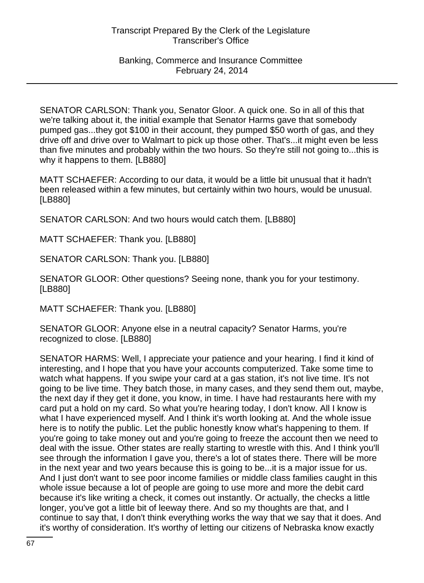SENATOR CARLSON: Thank you, Senator Gloor. A quick one. So in all of this that we're talking about it, the initial example that Senator Harms gave that somebody pumped gas...they got \$100 in their account, they pumped \$50 worth of gas, and they drive off and drive over to Walmart to pick up those other. That's...it might even be less than five minutes and probably within the two hours. So they're still not going to...this is why it happens to them. [LB880]

MATT SCHAEFER: According to our data, it would be a little bit unusual that it hadn't been released within a few minutes, but certainly within two hours, would be unusual. [LB880]

SENATOR CARLSON: And two hours would catch them. [LB880]

MATT SCHAEFER: Thank you. [LB880]

SENATOR CARLSON: Thank you. [LB880]

SENATOR GLOOR: Other questions? Seeing none, thank you for your testimony. [LB880]

MATT SCHAEFER: Thank you. [LB880]

SENATOR GLOOR: Anyone else in a neutral capacity? Senator Harms, you're recognized to close. [LB880]

SENATOR HARMS: Well, I appreciate your patience and your hearing. I find it kind of interesting, and I hope that you have your accounts computerized. Take some time to watch what happens. If you swipe your card at a gas station, it's not live time. It's not going to be live time. They batch those, in many cases, and they send them out, maybe, the next day if they get it done, you know, in time. I have had restaurants here with my card put a hold on my card. So what you're hearing today, I don't know. All I know is what I have experienced myself. And I think it's worth looking at. And the whole issue here is to notify the public. Let the public honestly know what's happening to them. If you're going to take money out and you're going to freeze the account then we need to deal with the issue. Other states are really starting to wrestle with this. And I think you'll see through the information I gave you, there's a lot of states there. There will be more in the next year and two years because this is going to be...it is a major issue for us. And I just don't want to see poor income families or middle class families caught in this whole issue because a lot of people are going to use more and more the debit card because it's like writing a check, it comes out instantly. Or actually, the checks a little longer, you've got a little bit of leeway there. And so my thoughts are that, and I continue to say that, I don't think everything works the way that we say that it does. And it's worthy of consideration. It's worthy of letting our citizens of Nebraska know exactly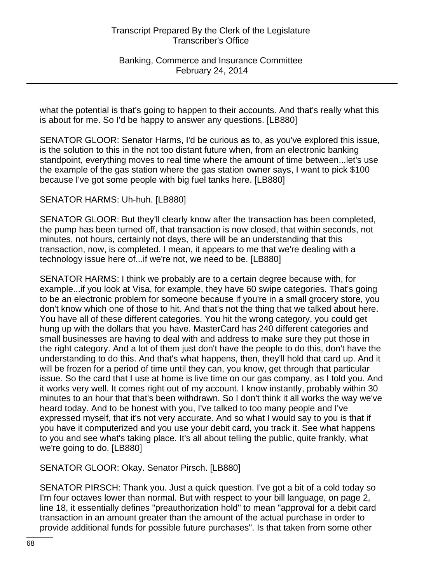Banking, Commerce and Insurance Committee February 24, 2014

what the potential is that's going to happen to their accounts. And that's really what this is about for me. So I'd be happy to answer any questions. [LB880]

SENATOR GLOOR: Senator Harms, I'd be curious as to, as you've explored this issue, is the solution to this in the not too distant future when, from an electronic banking standpoint, everything moves to real time where the amount of time between...let's use the example of the gas station where the gas station owner says, I want to pick \$100 because I've got some people with big fuel tanks here. [LB880]

### SENATOR HARMS: Uh-huh. [LB880]

SENATOR GLOOR: But they'll clearly know after the transaction has been completed, the pump has been turned off, that transaction is now closed, that within seconds, not minutes, not hours, certainly not days, there will be an understanding that this transaction, now, is completed. I mean, it appears to me that we're dealing with a technology issue here of...if we're not, we need to be. [LB880]

SENATOR HARMS: I think we probably are to a certain degree because with, for example...if you look at Visa, for example, they have 60 swipe categories. That's going to be an electronic problem for someone because if you're in a small grocery store, you don't know which one of those to hit. And that's not the thing that we talked about here. You have all of these different categories. You hit the wrong category, you could get hung up with the dollars that you have. MasterCard has 240 different categories and small businesses are having to deal with and address to make sure they put those in the right category. And a lot of them just don't have the people to do this, don't have the understanding to do this. And that's what happens, then, they'll hold that card up. And it will be frozen for a period of time until they can, you know, get through that particular issue. So the card that I use at home is live time on our gas company, as I told you. And it works very well. It comes right out of my account. I know instantly, probably within 30 minutes to an hour that that's been withdrawn. So I don't think it all works the way we've heard today. And to be honest with you, I've talked to too many people and I've expressed myself, that it's not very accurate. And so what I would say to you is that if you have it computerized and you use your debit card, you track it. See what happens to you and see what's taking place. It's all about telling the public, quite frankly, what we're going to do. [LB880]

SENATOR GLOOR: Okay. Senator Pirsch. [LB880]

SENATOR PIRSCH: Thank you. Just a quick question. I've got a bit of a cold today so I'm four octaves lower than normal. But with respect to your bill language, on page 2, line 18, it essentially defines "preauthorization hold" to mean "approval for a debit card transaction in an amount greater than the amount of the actual purchase in order to provide additional funds for possible future purchases". Is that taken from some other